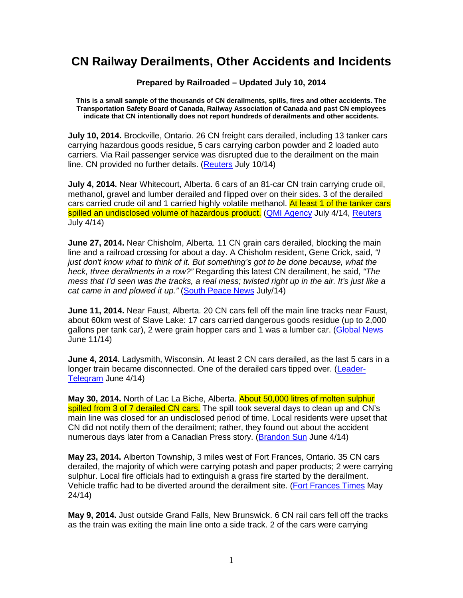## **CN Railway Derailments, Other Accidents and Incidents**

## **Prepared by Railroaded – Updated July 10, 2014**

**This is a small sample of the thousands of CN derailments, spills, fires and other accidents. The Transportation Safety Board of Canada, Railway Association of Canada and past CN employees indicate that CN intentionally does not report hundreds of derailments and other accidents.** 

**July 10, 2014.** Brockville, Ontario. 26 CN freight cars derailed, including 13 tanker cars carrying hazardous goods residue, 5 cars carrying carbon powder and 2 loaded auto carriers. Via Rail passenger service was disrupted due to the derailment on the main line. CN provided no further details. (Reuters July 10/14)

**July 4, 2014.** Near Whitecourt, Alberta. 6 cars of an 81-car CN train carrying crude oil, methanol, gravel and lumber derailed and flipped over on their sides. 3 of the derailed cars carried crude oil and 1 carried highly volatile methanol. At least 1 of the tanker cars spilled an undisclosed volume of hazardous product. (QMI Agency July 4/14, Reuters July 4/14)

**June 27, 2014.** Near Chisholm, Alberta. 11 CN grain cars derailed, blocking the main line and a railroad crossing for about a day. A Chisholm resident, Gene Crick, said, "I just don't know what to think of it. But something's got to be done because, what the heck, three derailments in a row?" Regarding this latest CN derailment, he said, "The mess that I'd seen was the tracks, a real mess; twisted right up in the air. It's just like a cat came in and plowed it up." (South Peace News July/14)

**June 11, 2014.** Near Faust, Alberta. 20 CN cars fell off the main line tracks near Faust, about 60km west of Slave Lake: 17 cars carried dangerous goods residue (up to 2,000 gallons per tank car), 2 were grain hopper cars and 1 was a lumber car. (Global News June 11/14)

**June 4, 2014.** Ladysmith, Wisconsin. At least 2 CN cars derailed, as the last 5 cars in a longer train became disconnected. One of the derailed cars tipped over. (Leader-Telegram June 4/14)

**May 30, 2014.** North of Lac La Biche, Alberta. About 50,000 litres of molten sulphur spilled from 3 of 7 derailed CN cars. The spill took several days to clean up and CN's main line was closed for an undisclosed period of time. Local residents were upset that CN did not notify them of the derailment; rather, they found out about the accident numerous days later from a Canadian Press story. (Brandon Sun June 4/14)

**May 23, 2014.** Alberton Township, 3 miles west of Fort Frances, Ontario. 35 CN cars derailed, the majority of which were carrying potash and paper products; 2 were carrying sulphur. Local fire officials had to extinguish a grass fire started by the derailment. Vehicle traffic had to be diverted around the derailment site. (Fort Frances Times May 24/14)

**May 9, 2014.** Just outside Grand Falls, New Brunswick. 6 CN rail cars fell off the tracks as the train was exiting the main line onto a side track. 2 of the cars were carrying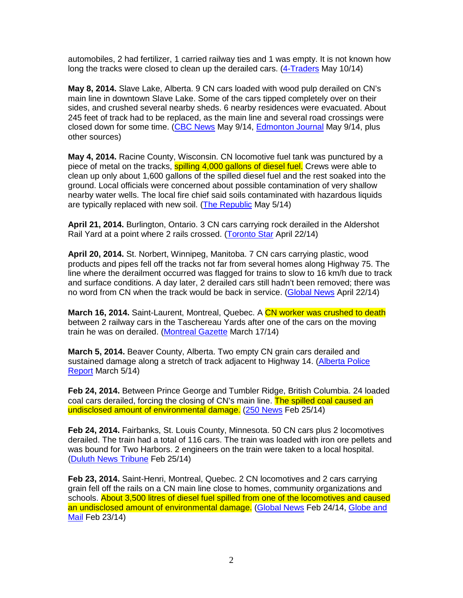automobiles, 2 had fertilizer, 1 carried railway ties and 1 was empty. It is not known how long the tracks were closed to clean up the derailed cars. (4-Traders May 10/14)

**May 8, 2014.** Slave Lake, Alberta. 9 CN cars loaded with wood pulp derailed on CN's main line in downtown Slave Lake. Some of the cars tipped completely over on their sides, and crushed several nearby sheds. 6 nearby residences were evacuated. About 245 feet of track had to be replaced, as the main line and several road crossings were closed down for some time. (CBC News May 9/14, Edmonton Journal May 9/14, plus other sources)

**May 4, 2014.** Racine County, Wisconsin. CN locomotive fuel tank was punctured by a piece of metal on the tracks, **spilling 4,000 gallons of diesel fuel.** Crews were able to clean up only about 1,600 gallons of the spilled diesel fuel and the rest soaked into the ground. Local officials were concerned about possible contamination of very shallow nearby water wells. The local fire chief said soils contaminated with hazardous liquids are typically replaced with new soil. (The Republic May 5/14)

**April 21, 2014.** Burlington, Ontario. 3 CN cars carrying rock derailed in the Aldershot Rail Yard at a point where 2 rails crossed. (Toronto Star April 22/14)

**April 20, 2014.** St. Norbert, Winnipeg, Manitoba. 7 CN cars carrying plastic, wood products and pipes fell off the tracks not far from several homes along Highway 75. The line where the derailment occurred was flagged for trains to slow to 16 km/h due to track and surface conditions. A day later, 2 derailed cars still hadn't been removed; there was no word from CN when the track would be back in service. (Global News April 22/14)

**March 16, 2014.** Saint-Laurent, Montreal, Quebec, A CN worker was crushed to death between 2 railway cars in the Taschereau Yards after one of the cars on the moving train he was on derailed. (Montreal Gazette March 17/14)

**March 5, 2014.** Beaver County, Alberta. Two empty CN grain cars derailed and sustained damage along a stretch of track adjacent to Highway 14. (Alberta Police Report March 5/14)

**Feb 24, 2014.** Between Prince George and Tumbler Ridge, British Columbia. 24 loaded coal cars derailed, forcing the closing of CN's main line. The spilled coal caused an undisclosed amount of environmental damage. (250 News Feb 25/14)

**Feb 24, 2014.** Fairbanks, St. Louis County, Minnesota. 50 CN cars plus 2 locomotives derailed. The train had a total of 116 cars. The train was loaded with iron ore pellets and was bound for Two Harbors. 2 engineers on the train were taken to a local hospital. (Duluth News Tribune Feb 25/14)

**Feb 23, 2014.** Saint-Henri, Montreal, Quebec. 2 CN locomotives and 2 cars carrying grain fell off the rails on a CN main line close to homes, community organizations and schools. About 3,500 litres of diesel fuel spilled from one of the locomotives and caused an undisclosed amount of environmental damage. (Global News Feb 24/14, Globe and Mail Feb 23/14)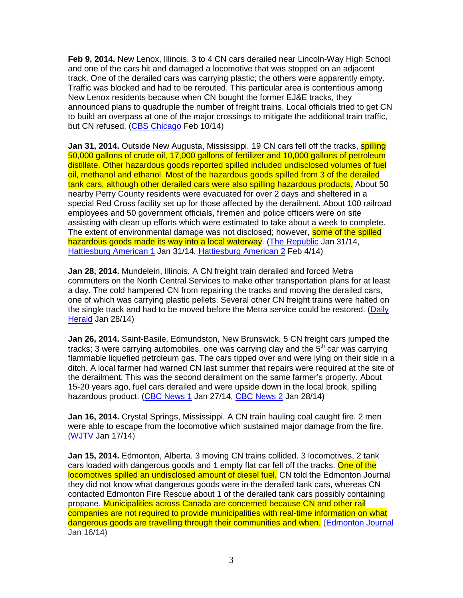**Feb 9, 2014.** New Lenox, Illinois. 3 to 4 CN cars derailed near Lincoln-Way High School and one of the cars hit and damaged a locomotive that was stopped on an adjacent track. One of the derailed cars was carrying plastic; the others were apparently empty. Traffic was blocked and had to be rerouted. This particular area is contentious among New Lenox residents because when CN bought the former EJ&E tracks, they announced plans to quadruple the number of freight trains. Local officials tried to get CN to build an overpass at one of the major crossings to mitigate the additional train traffic, but CN refused. (CBS Chicago Feb 10/14)

**Jan 31, 2014.** Outside New Augusta, Mississippi. 19 CN cars fell off the tracks, **spilling** 50,000 gallons of crude oil, 17,000 gallons of fertilizer and 10,000 gallons of petroleum distillate. Other hazardous goods reported spilled included undisclosed volumes of fuel oil, methanol and ethanol. Most of the hazardous goods spilled from 3 of the derailed tank cars, although other derailed cars were also spilling hazardous products. About 50 nearby Perry County residents were evacuated for over 2 days and sheltered in a special Red Cross facility set up for those affected by the derailment. About 100 railroad employees and 50 government officials, firemen and police officers were on site assisting with clean up efforts which were estimated to take about a week to complete. The extent of environmental damage was not disclosed; however, some of the spilled hazardous goods made its way into a local waterway. (The Republic Jan 31/14, Hattiesburg American 1 Jan 31/14, Hattiesburg American 2 Feb 4/14)

**Jan 28, 2014.** Mundelein, Illinois. A CN freight train derailed and forced Metra commuters on the North Central Services to make other transportation plans for at least a day. The cold hampered CN from repairing the tracks and moving the derailed cars, one of which was carrying plastic pellets. Several other CN freight trains were halted on the single track and had to be moved before the Metra service could be restored. (Daily Herald Jan 28/14)

**Jan 26, 2014.** Saint-Basile, Edmundston, New Brunswick. 5 CN freight cars jumped the tracks; 3 were carrying automobiles, one was carrying clay and the  $5<sup>th</sup>$  car was carrying flammable liquefied petroleum gas. The cars tipped over and were lying on their side in a ditch. A local farmer had warned CN last summer that repairs were required at the site of the derailment. This was the second derailment on the same farmer's property. About 15-20 years ago, fuel cars derailed and were upside down in the local brook, spilling hazardous product. (CBC News 1 Jan 27/14, CBC News 2 Jan 28/14)

**Jan 16, 2014.** Crystal Springs, Mississippi. A CN train hauling coal caught fire. 2 men were able to escape from the locomotive which sustained major damage from the fire. (WJTV Jan 17/14)

**Jan 15, 2014.** Edmonton, Alberta. 3 moving CN trains collided. 3 locomotives, 2 tank cars loaded with dangerous goods and 1 empty flat car fell off the tracks. One of the locomotives spilled an undisclosed amount of diesel fuel. CN told the Edmonton Journal they did not know what dangerous goods were in the derailed tank cars, whereas CN contacted Edmonton Fire Rescue about 1 of the derailed tank cars possibly containing propane. Municipalities across Canada are concerned because CN and other rail companies are not required to provide municipalities with real-time information on what dangerous goods are travelling through their communities and when. (Edmonton Journal Jan 16/14)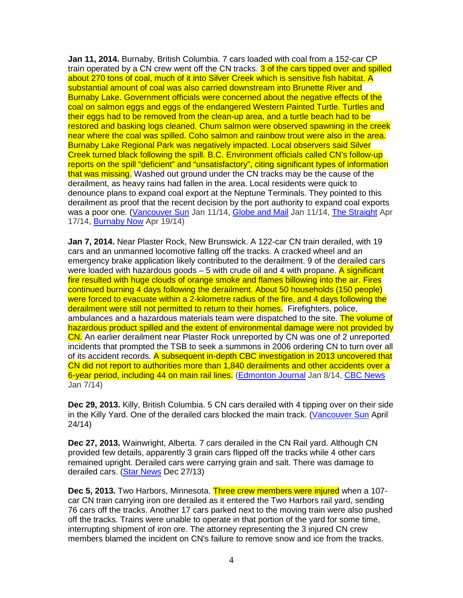**Jan 11, 2014.** Burnaby, British Columbia. 7 cars loaded with coal from a 152-car CP train operated by a CN crew went off the CN tracks. 3 of the cars tipped over and spilled about 270 tons of coal, much of it into Silver Creek which is sensitive fish habitat. A substantial amount of coal was also carried downstream into Brunette River and Burnaby Lake. Government officials were concerned about the negative effects of the coal on salmon eggs and eggs of the endangered Western Painted Turtle. Turtles and their eggs had to be removed from the clean-up area, and a turtle beach had to be restored and basking logs cleaned. Chum salmon were observed spawning in the creek near where the coal was spilled. Coho salmon and rainbow trout were also in the area. Burnaby Lake Regional Park was negatively impacted. Local observers said Silver Creek turned black following the spill. B.C. Environment officials called CN's follow-up reports on the spill "deficient" and "unsatisfactory", citing significant types of information that was missing. Washed out ground under the CN tracks may be the cause of the derailment, as heavy rains had fallen in the area. Local residents were quick to denounce plans to expand coal export at the Neptune Terminals. They pointed to this derailment as proof that the recent decision by the port authority to expand coal exports was a poor one. (Vancouver Sun Jan 11/14, Globe and Mail Jan 11/14, The Straight Apr 17/14, Burnaby Now Apr 19/14)

**Jan 7, 2014.** Near Plaster Rock, New Brunswick. A 122-car CN train derailed, with 19 cars and an unmanned locomotive falling off the tracks. A cracked wheel and an emergency brake application likely contributed to the derailment. 9 of the derailed cars were loaded with hazardous goods – 5 with crude oil and 4 with propane. A significant fire resulted with huge clouds of orange smoke and flames billowing into the air. Fires continued burning 4 days following the derailment. About 50 households (150 people) were forced to evacuate within a 2-kilometre radius of the fire, and 4 days following the derailment were still not permitted to return to their homes. Firefighters, police, ambulances and a hazardous materials team were dispatched to the site. The volume of hazardous product spilled and the extent of environmental damage were not provided by CN. An earlier derailment near Plaster Rock unreported by CN was one of 2 unreported incidents that prompted the TSB to seek a summons in 2006 ordering CN to turn over all of its accident records. A subsequent in-depth CBC investigation in 2013 uncovered that CN did not report to authorities more than 1,840 derailments and other accidents over a 6-year period, including 44 on main rail lines. (Edmonton Journal Jan 8/14, CBC News Jan 7/14)

**Dec 29, 2013.** Killy, British Columbia. 5 CN cars derailed with 4 tipping over on their side in the Killy Yard. One of the derailed cars blocked the main track. (Vancouver Sun April 24/14)

**Dec 27, 2013.** Wainwright, Alberta. 7 cars derailed in the CN Rail yard. Although CN provided few details, apparently 3 grain cars flipped off the tracks while 4 other cars remained upright. Derailed cars were carrying grain and salt. There was damage to derailed cars. (Star News Dec 27/13)

**Dec 5, 2013.** Two Harbors, Minnesota. Three crew members were injured when a 107 car CN train carrying iron ore derailed as it entered the Two Harbors rail yard, sending 76 cars off the tracks. Another 17 cars parked next to the moving train were also pushed off the tracks. Trains were unable to operate in that portion of the yard for some time, interrupting shipment of iron ore. The attorney representing the 3 injured CN crew members blamed the incident on CN's failure to remove snow and ice from the tracks.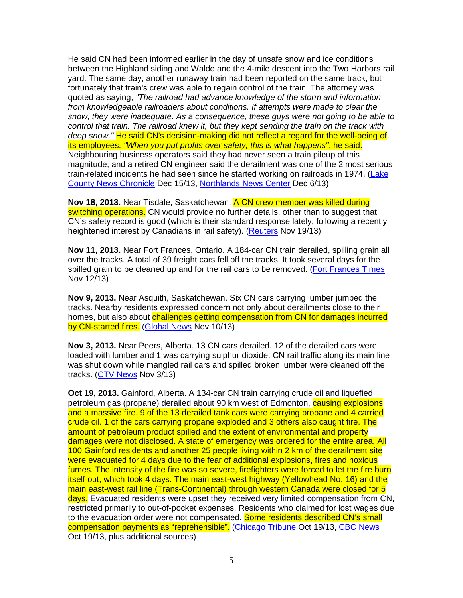He said CN had been informed earlier in the day of unsafe snow and ice conditions between the Highland siding and Waldo and the 4-mile descent into the Two Harbors rail yard. The same day, another runaway train had been reported on the same track, but fortunately that train's crew was able to regain control of the train. The attorney was quoted as saying, "The railroad had advance knowledge of the storm and information from knowledgeable railroaders about conditions. If attempts were made to clear the snow, they were inadequate. As a consequence, these guys were not going to be able to control that train. The railroad knew it, but they kept sending the train on the track with deep snow." He said CN's decision-making did not reflect a regard for the well-being of its employees. "When you put profits over safety, this is what happens", he said. Neighbouring business operators said they had never seen a train pileup of this magnitude, and a retired CN engineer said the derailment was one of the 2 most serious train-related incidents he had seen since he started working on railroads in 1974. (Lake County News Chronicle Dec 15/13, Northlands News Center Dec 6/13)

**Nov 18, 2013.** Near Tisdale, Saskatchewan. A CN crew member was killed during switching operations. CN would provide no further details, other than to suggest that CN's safety record is good (which is their standard response lately, following a recently heightened interest by Canadians in rail safety). (Reuters Nov 19/13)

**Nov 11, 2013.** Near Fort Frances, Ontario. A 184-car CN train derailed, spilling grain all over the tracks. A total of 39 freight cars fell off the tracks. It took several days for the spilled grain to be cleaned up and for the rail cars to be removed. (Fort Frances Times Nov 12/13)

**Nov 9, 2013.** Near Asquith, Saskatchewan. Six CN cars carrying lumber jumped the tracks. Nearby residents expressed concern not only about derailments close to their homes, but also about challenges getting compensation from CN for damages incurred by CN-started fires. (Global News Nov 10/13)

**Nov 3, 2013.** Near Peers, Alberta. 13 CN cars derailed. 12 of the derailed cars were loaded with lumber and 1 was carrying sulphur dioxide. CN rail traffic along its main line was shut down while mangled rail cars and spilled broken lumber were cleaned off the tracks. (CTV News Nov 3/13)

**Oct 19, 2013.** Gainford, Alberta. A 134-car CN train carrying crude oil and liquefied petroleum gas (propane) derailed about 90 km west of Edmonton, causing explosions and a massive fire. 9 of the 13 derailed tank cars were carrying propane and 4 carried crude oil. 1 of the cars carrying propane exploded and 3 others also caught fire. The amount of petroleum product spilled and the extent of environmental and property damages were not disclosed. A state of emergency was ordered for the entire area. All 100 Gainford residents and another 25 people living within 2 km of the derailment site were evacuated for 4 days due to the fear of additional explosions, fires and noxious fumes. The intensity of the fire was so severe, firefighters were forced to let the fire burn itself out, which took 4 days. The main east-west highway (Yellowhead No. 16) and the main east-west rail line (Trans-Continental) through western Canada were closed for 5 days. Evacuated residents were upset they received very limited compensation from CN, restricted primarily to out-of-pocket expenses. Residents who claimed for lost wages due to the evacuation order were not compensated. Some residents described CN's small compensation payments as "reprehensible". (Chicago Tribune Oct 19/13, CBC News Oct 19/13, plus additional sources)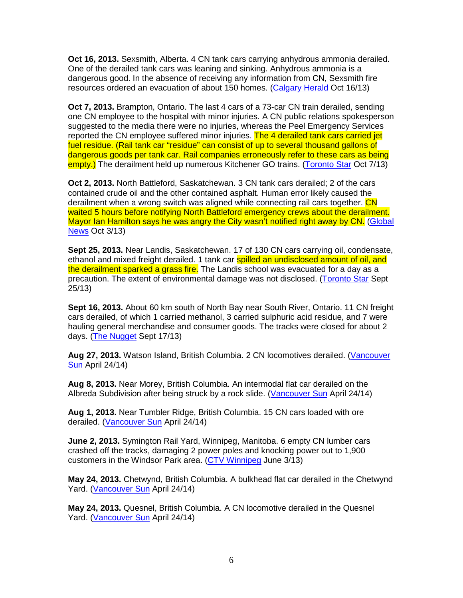**Oct 16, 2013.** Sexsmith, Alberta. 4 CN tank cars carrying anhydrous ammonia derailed. One of the derailed tank cars was leaning and sinking. Anhydrous ammonia is a dangerous good. In the absence of receiving any information from CN, Sexsmith fire resources ordered an evacuation of about 150 homes. (Calgary Herald Oct 16/13)

**Oct 7, 2013.** Brampton, Ontario. The last 4 cars of a 73-car CN train derailed, sending one CN employee to the hospital with minor injuries. A CN public relations spokesperson suggested to the media there were no injuries, whereas the Peel Emergency Services reported the CN employee suffered minor injuries. The 4 derailed tank cars carried jet fuel residue. (Rail tank car "residue" can consist of up to several thousand gallons of dangerous goods per tank car. Rail companies erroneously refer to these cars as being empty.) The derailment held up numerous Kitchener GO trains. (Toronto Star Oct 7/13)

**Oct 2, 2013.** North Battleford, Saskatchewan. 3 CN tank cars derailed; 2 of the cars contained crude oil and the other contained asphalt. Human error likely caused the derailment when a wrong switch was aligned while connecting rail cars together. CN waited 5 hours before notifying North Battleford emergency crews about the derailment. Mayor Ian Hamilton says he was angry the City wasn't notified right away by CN. (Global News Oct 3/13)

**Sept 25, 2013.** Near Landis, Saskatchewan. 17 of 130 CN cars carrying oil, condensate, ethanol and mixed freight derailed. 1 tank car spilled an undisclosed amount of oil, and the derailment sparked a grass fire. The Landis school was evacuated for a day as a precaution. The extent of environmental damage was not disclosed. (Toronto Star Sept 25/13)

**Sept 16, 2013.** About 60 km south of North Bay near South River, Ontario. 11 CN freight cars derailed, of which 1 carried methanol, 3 carried sulphuric acid residue, and 7 were hauling general merchandise and consumer goods. The tracks were closed for about 2 days. (The Nugget Sept 17/13)

**Aug 27, 2013.** Watson Island, British Columbia. 2 CN locomotives derailed. (Vancouver Sun April 24/14)

**Aug 8, 2013.** Near Morey, British Columbia. An intermodal flat car derailed on the Albreda Subdivision after being struck by a rock slide. (Vancouver Sun April 24/14)

**Aug 1, 2013.** Near Tumbler Ridge, British Columbia. 15 CN cars loaded with ore derailed. (Vancouver Sun April 24/14)

**June 2, 2013.** Symington Rail Yard, Winnipeg, Manitoba. 6 empty CN lumber cars crashed off the tracks, damaging 2 power poles and knocking power out to 1,900 customers in the Windsor Park area. (CTV Winnipeg June 3/13)

**May 24, 2013.** Chetwynd, British Columbia. A bulkhead flat car derailed in the Chetwynd Yard. (Vancouver Sun April 24/14)

**May 24, 2013.** Quesnel, British Columbia. A CN locomotive derailed in the Quesnel Yard. (Vancouver Sun April 24/14)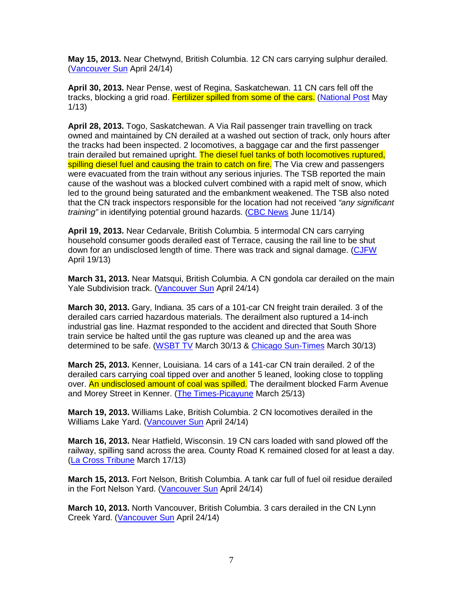**May 15, 2013.** Near Chetwynd, British Columbia. 12 CN cars carrying sulphur derailed. (Vancouver Sun April 24/14)

**April 30, 2013.** Near Pense, west of Regina, Saskatchewan. 11 CN cars fell off the tracks, blocking a grid road. Fertilizer spilled from some of the cars. (National Post May 1/13)

**April 28, 2013.** Togo, Saskatchewan. A Via Rail passenger train travelling on track owned and maintained by CN derailed at a washed out section of track, only hours after the tracks had been inspected. 2 locomotives, a baggage car and the first passenger train derailed but remained upright. The diesel fuel tanks of both locomotives ruptured, spilling diesel fuel and causing the train to catch on fire. The Via crew and passengers were evacuated from the train without any serious injuries. The TSB reported the main cause of the washout was a blocked culvert combined with a rapid melt of snow, which led to the ground being saturated and the embankment weakened. The TSB also noted that the CN track inspectors responsible for the location had not received "any significant" training" in identifying potential ground hazards. (CBC News June 11/14)

**April 19, 2013.** Near Cedarvale, British Columbia. 5 intermodal CN cars carrying household consumer goods derailed east of Terrace, causing the rail line to be shut down for an undisclosed length of time. There was track and signal damage. (CJFW April 19/13)

**March 31, 2013.** Near Matsqui, British Columbia. A CN gondola car derailed on the main Yale Subdivision track. (Vancouver Sun April 24/14)

**March 30, 2013.** Gary, Indiana. 35 cars of a 101-car CN freight train derailed. 3 of the derailed cars carried hazardous materials. The derailment also ruptured a 14-inch industrial gas line. Hazmat responded to the accident and directed that South Shore train service be halted until the gas rupture was cleaned up and the area was determined to be safe. (WSBT TV March 30/13 & Chicago Sun-Times March 30/13)

**March 25, 2013.** Kenner, Louisiana. 14 cars of a 141-car CN train derailed. 2 of the derailed cars carrying coal tipped over and another 5 leaned, looking close to toppling over. An undisclosed amount of coal was spilled. The derailment blocked Farm Avenue and Morey Street in Kenner. (The Times-Picayune March 25/13)

**March 19, 2013.** Williams Lake, British Columbia. 2 CN locomotives derailed in the Williams Lake Yard. (Vancouver Sun April 24/14)

**March 16, 2013.** Near Hatfield, Wisconsin. 19 CN cars loaded with sand plowed off the railway, spilling sand across the area. County Road K remained closed for at least a day. (La Cross Tribune March 17/13)

**March 15, 2013.** Fort Nelson, British Columbia. A tank car full of fuel oil residue derailed in the Fort Nelson Yard. (Vancouver Sun April 24/14)

**March 10, 2013.** North Vancouver, British Columbia. 3 cars derailed in the CN Lynn Creek Yard. (Vancouver Sun April 24/14)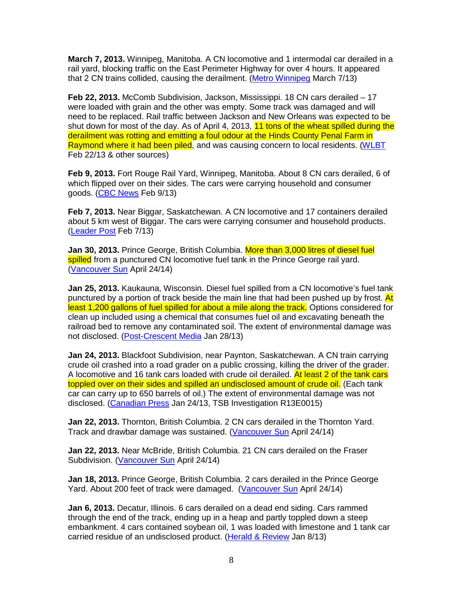**March 7, 2013.** Winnipeg, Manitoba. A CN locomotive and 1 intermodal car derailed in a rail yard, blocking traffic on the East Perimeter Highway for over 4 hours. It appeared that 2 CN trains collided, causing the derailment. (Metro Winnipeg March 7/13)

**Feb 22, 2013.** McComb Subdivision, Jackson, Mississippi. 18 CN cars derailed – 17 were loaded with grain and the other was empty. Some track was damaged and will need to be replaced. Rail traffic between Jackson and New Orleans was expected to be shut down for most of the day. As of April 4, 2013, 11 tons of the wheat spilled during the derailment was rotting and emitting a foul odour at the Hinds County Penal Farm in Raymond where it had been piled, and was causing concern to local residents. (WLBT Feb 22/13 & other sources)

**Feb 9, 2013.** Fort Rouge Rail Yard, Winnipeg, Manitoba. About 8 CN cars derailed, 6 of which flipped over on their sides. The cars were carrying household and consumer goods. (CBC News Feb 9/13)

**Feb 7, 2013.** Near Biggar, Saskatchewan. A CN locomotive and 17 containers derailed about 5 km west of Biggar. The cars were carrying consumer and household products. (Leader Post Feb 7/13)

**Jan 30, 2013.** Prince George, British Columbia. More than 3,000 litres of diesel fuel spilled from a punctured CN locomotive fuel tank in the Prince George rail yard. (Vancouver Sun April 24/14)

**Jan 25, 2013.** Kaukauna, Wisconsin. Diesel fuel spilled from a CN locomotive's fuel tank punctured by a portion of track beside the main line that had been pushed up by frost. At least 1,200 gallons of fuel spilled for about a mile along the track. Options considered for clean up included using a chemical that consumes fuel oil and excavating beneath the railroad bed to remove any contaminated soil. The extent of environmental damage was not disclosed. (Post-Crescent Media Jan 28/13)

**Jan 24, 2013.** Blackfoot Subdivision, near Paynton, Saskatchewan. A CN train carrying crude oil crashed into a road grader on a public crossing, killing the driver of the grader. A locomotive and 16 tank cars loaded with crude oil derailed. At least 2 of the tank cars toppled over on their sides and spilled an undisclosed amount of crude oil. (Each tank car can carry up to 650 barrels of oil.) The extent of environmental damage was not disclosed. (Canadian Press Jan 24/13, TSB Investigation R13E0015)

**Jan 22, 2013.** Thornton, British Columbia. 2 CN cars derailed in the Thornton Yard. Track and drawbar damage was sustained. (Vancouver Sun April 24/14)

**Jan 22, 2013.** Near McBride, British Columbia. 21 CN cars derailed on the Fraser Subdivision. (Vancouver Sun April 24/14)

**Jan 18, 2013.** Prince George, British Columbia. 2 cars derailed in the Prince George Yard. About 200 feet of track were damaged. (Vancouver Sun April 24/14)

**Jan 6, 2013.** Decatur, Illinois. 6 cars derailed on a dead end siding. Cars rammed through the end of the track, ending up in a heap and partly toppled down a steep embankment. 4 cars contained soybean oil, 1 was loaded with limestone and 1 tank car carried residue of an undisclosed product. (Herald & Review Jan 8/13)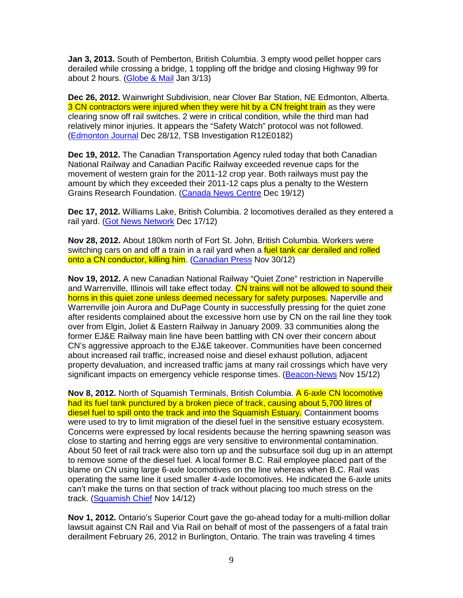**Jan 3, 2013.** South of Pemberton, British Columbia. 3 empty wood pellet hopper cars derailed while crossing a bridge, 1 toppling off the bridge and closing Highway 99 for about 2 hours. (Globe & Mail Jan 3/13)

**Dec 26, 2012.** Wainwright Subdivision, near Clover Bar Station, NE Edmonton, Alberta. 3 CN contractors were injured when they were hit by a CN freight train as they were clearing snow off rail switches. 2 were in critical condition, while the third man had relatively minor injuries. It appears the "Safety Watch" protocol was not followed. (Edmonton Journal Dec 28/12, TSB Investigation R12E0182)

**Dec 19, 2012.** The Canadian Transportation Agency ruled today that both Canadian National Railway and Canadian Pacific Railway exceeded revenue caps for the movement of western grain for the 2011-12 crop year. Both railways must pay the amount by which they exceeded their 2011-12 caps plus a penalty to the Western Grains Research Foundation. (Canada News Centre Dec 19/12)

**Dec 17, 2012.** Williams Lake, British Columbia. 2 locomotives derailed as they entered a rail yard. (Got News Network Dec 17/12)

**Nov 28, 2012.** About 180km north of Fort St. John, British Columbia. Workers were switching cars on and off a train in a rail yard when a fuel tank car derailed and rolled onto a CN conductor, killing him. (Canadian Press Nov 30/12)

**Nov 19, 2012.** A new Canadian National Railway "Quiet Zone" restriction in Naperville and Warrenville, Illinois will take effect today. CN trains will not be allowed to sound their horns in this quiet zone unless deemed necessary for safety purposes. Naperville and Warrenville join Aurora and DuPage County in successfully pressing for the quiet zone after residents complained about the excessive horn use by CN on the rail line they took over from Elgin, Joliet & Eastern Railway in January 2009. 33 communities along the former EJ&E Railway main line have been battling with CN over their concern about CN's aggressive approach to the EJ&E takeover. Communities have been concerned about increased rail traffic, increased noise and diesel exhaust pollution, adjacent property devaluation, and increased traffic jams at many rail crossings which have very significant impacts on emergency vehicle response times. (Beacon-News Nov 15/12)

**Nov 8, 2012.** North of Squamish Terminals, British Columbia. A 6-axle CN locomotive had its fuel tank punctured by a broken piece of track, causing about 5,700 litres of diesel fuel to spill onto the track and into the Squamish Estuary. Containment booms were used to try to limit migration of the diesel fuel in the sensitive estuary ecosystem. Concerns were expressed by local residents because the herring spawning season was close to starting and herring eggs are very sensitive to environmental contamination. About 50 feet of rail track were also torn up and the subsurface soil dug up in an attempt to remove some of the diesel fuel. A local former B.C. Rail employee placed part of the blame on CN using large 6-axle locomotives on the line whereas when B.C. Rail was operating the same line it used smaller 4-axle locomotives. He indicated the 6-axle units can't make the turns on that section of track without placing too much stress on the track. (Squamish Chief Nov 14/12)

**Nov 1, 2012.** Ontario's Superior Court gave the go-ahead today for a multi-million dollar lawsuit against CN Rail and Via Rail on behalf of most of the passengers of a fatal train derailment February 26, 2012 in Burlington, Ontario. The train was traveling 4 times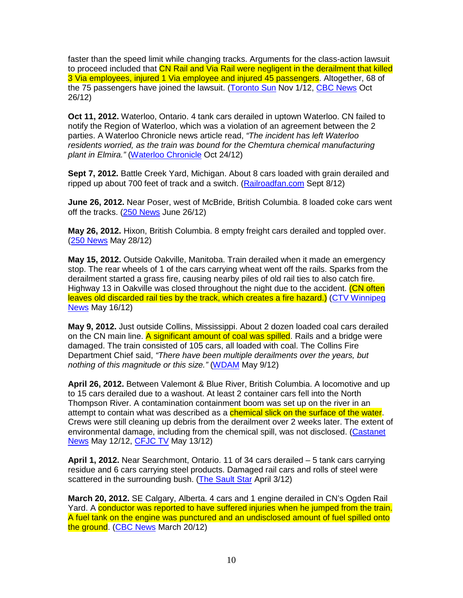faster than the speed limit while changing tracks. Arguments for the class-action lawsuit to proceed included that CN Rail and Via Rail were negligent in the derailment that killed 3 Via employees, injured 1 Via employee and injured 45 passengers. Altogether, 68 of the 75 passengers have joined the lawsuit. (Toronto Sun Nov 1/12, CBC News Oct 26/12)

**Oct 11, 2012.** Waterloo, Ontario. 4 tank cars derailed in uptown Waterloo. CN failed to notify the Region of Waterloo, which was a violation of an agreement between the 2 parties. A Waterloo Chronicle news article read, "The incident has left Waterloo residents worried, as the train was bound for the Chemtura chemical manufacturing plant in Elmira." (Waterloo Chronicle Oct 24/12)

**Sept 7, 2012.** Battle Creek Yard, Michigan. About 8 cars loaded with grain derailed and ripped up about 700 feet of track and a switch. (Railroadfan.com Sept 8/12)

**June 26, 2012.** Near Poser, west of McBride, British Columbia. 8 loaded coke cars went off the tracks. (250 News June 26/12)

**May 26, 2012.** Hixon, British Columbia. 8 empty freight cars derailed and toppled over. (250 News May 28/12)

**May 15, 2012.** Outside Oakville, Manitoba. Train derailed when it made an emergency stop. The rear wheels of 1 of the cars carrying wheat went off the rails. Sparks from the derailment started a grass fire, causing nearby piles of old rail ties to also catch fire. Highway 13 in Oakville was closed throughout the night due to the accident. (CN often leaves old discarded rail ties by the track, which creates a fire hazard.) (CTV Winnipeg News May 16/12)

**May 9, 2012.** Just outside Collins, Mississippi. About 2 dozen loaded coal cars derailed on the CN main line. A significant amount of coal was spilled. Rails and a bridge were damaged. The train consisted of 105 cars, all loaded with coal. The Collins Fire Department Chief said, "There have been multiple derailments over the years, but nothing of this magnitude or this size." (WDAM May 9/12)

**April 26, 2012.** Between Valemont & Blue River, British Columbia. A locomotive and up to 15 cars derailed due to a washout. At least 2 container cars fell into the North Thompson River. A contamination containment boom was set up on the river in an attempt to contain what was described as a **chemical slick on the surface of the water**. Crews were still cleaning up debris from the derailment over 2 weeks later. The extent of environmental damage, including from the chemical spill, was not disclosed. (Castanet News May 12/12, CFJC TV May 13/12)

**April 1, 2012.** Near Searchmont, Ontario. 11 of 34 cars derailed – 5 tank cars carrying residue and 6 cars carrying steel products. Damaged rail cars and rolls of steel were scattered in the surrounding bush. (The Sault Star April 3/12)

**March 20, 2012.** SE Calgary, Alberta. 4 cars and 1 engine derailed in CN's Ogden Rail Yard. A conductor was reported to have suffered injuries when he jumped from the train. A fuel tank on the engine was punctured and an undisclosed amount of fuel spilled onto the ground. (CBC News March 20/12)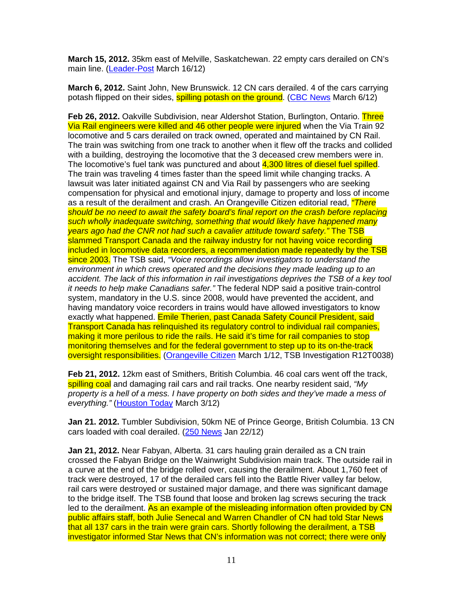**March 15, 2012.** 35km east of Melville, Saskatchewan. 22 empty cars derailed on CN's main line. (Leader-Post March 16/12)

**March 6, 2012.** Saint John, New Brunswick. 12 CN cars derailed. 4 of the cars carrying potash flipped on their sides, **spilling potash on the ground.** (CBC News March 6/12)

**Feb 26, 2012.** Oakville Subdivision, near Aldershot Station, Burlington, Ontario. Three Via Rail engineers were killed and 46 other people were injured when the Via Train 92 locomotive and 5 cars derailed on track owned, operated and maintained by CN Rail. The train was switching from one track to another when it flew off the tracks and collided with a building, destroying the locomotive that the 3 deceased crew members were in. The locomotive's fuel tank was punctured and about 4,300 litres of diesel fuel spilled. The train was traveling 4 times faster than the speed limit while changing tracks. A lawsuit was later initiated against CN and Via Rail by passengers who are seeking compensation for physical and emotional injury, damage to property and loss of income as a result of the derailment and crash. An Orangeville Citizen editorial read, *"There* should be no need to await the safety board's final report on the crash before replacing such wholly inadequate switching, something that would likely have happened many years ago had the CNR not had such a cavalier attitude toward safety." The TSB slammed Transport Canada and the railway industry for not having voice recording included in locomotive data recorders, a recommendation made repeatedly by the TSB since 2003. The TSB said, "Voice recordings allow investigators to understand the environment in which crews operated and the decisions they made leading up to an accident. The lack of this information in rail investigations deprives the TSB of a key tool it needs to help make Canadians safer." The federal NDP said a positive train-control system, mandatory in the U.S. since 2008, would have prevented the accident, and having mandatory voice recorders in trains would have allowed investigators to know exactly what happened. Emile Therien, past Canada Safety Council President, said Transport Canada has relinquished its regulatory control to individual rail companies, making it more perilous to ride the rails. He said it's time for rail companies to stop monitoring themselves and for the federal government to step up to its on-the-track oversight responsibilities. (Orangeville Citizen March 1/12, TSB Investigation R12T0038)

**Feb 21, 2012.** 12km east of Smithers, British Columbia. 46 coal cars went off the track, spilling coal and damaging rail cars and rail tracks. One nearby resident said, "My property is a hell of a mess. I have property on both sides and they've made a mess of everything." (Houston Today March 3/12)

**Jan 21. 2012.** Tumbler Subdivision, 50km NE of Prince George, British Columbia. 13 CN cars loaded with coal derailed. (250 News Jan 22/12)

**Jan 21, 2012.** Near Fabyan, Alberta. 31 cars hauling grain derailed as a CN train crossed the Fabyan Bridge on the Wainwright Subdivision main track. The outside rail in a curve at the end of the bridge rolled over, causing the derailment. About 1,760 feet of track were destroyed, 17 of the derailed cars fell into the Battle River valley far below, rail cars were destroyed or sustained major damage, and there was significant damage to the bridge itself. The TSB found that loose and broken lag screws securing the track led to the derailment. As an example of the misleading information often provided by CN public affairs staff, both Julie Senecal and Warren Chandler of CN had told Star News that all 137 cars in the train were grain cars. Shortly following the derailment, a TSB investigator informed Star News that CN's information was not correct; there were only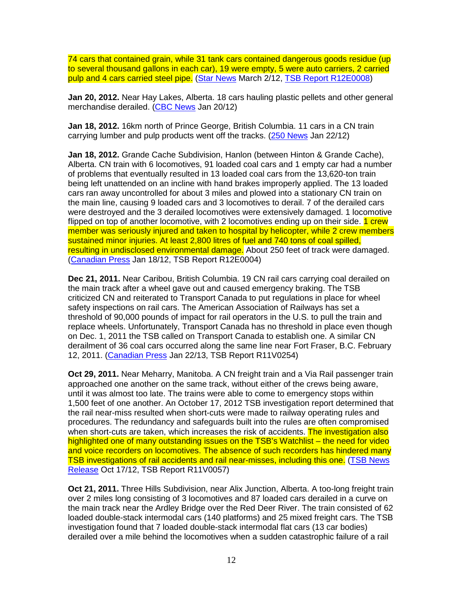74 cars that contained grain, while 31 tank cars contained dangerous goods residue (up to several thousand gallons in each car), 19 were empty, 5 were auto carriers, 2 carried pulp and 4 cars carried steel pipe. (Star News March 2/12, TSB Report R12E0008)

**Jan 20, 2012.** Near Hay Lakes, Alberta. 18 cars hauling plastic pellets and other general merchandise derailed. (CBC News Jan 20/12)

**Jan 18, 2012.** 16km north of Prince George, British Columbia. 11 cars in a CN train carrying lumber and pulp products went off the tracks. (250 News Jan 22/12)

**Jan 18, 2012.** Grande Cache Subdivision, Hanlon (between Hinton & Grande Cache), Alberta. CN train with 6 locomotives, 91 loaded coal cars and 1 empty car had a number of problems that eventually resulted in 13 loaded coal cars from the 13,620-ton train being left unattended on an incline with hand brakes improperly applied. The 13 loaded cars ran away uncontrolled for about 3 miles and plowed into a stationary CN train on the main line, causing 9 loaded cars and 3 locomotives to derail. 7 of the derailed cars were destroyed and the 3 derailed locomotives were extensively damaged. 1 locomotive flipped on top of another locomotive, with 2 locomotives ending up on their side. 1 crew member was seriously injured and taken to hospital by helicopter, while 2 crew members sustained minor injuries. At least 2,800 litres of fuel and 740 tons of coal spilled, resulting in undisclosed environmental damage. About 250 feet of track were damaged. (Canadian Press Jan 18/12, TSB Report R12E0004)

**Dec 21, 2011.** Near Caribou, British Columbia. 19 CN rail cars carrying coal derailed on the main track after a wheel gave out and caused emergency braking. The TSB criticized CN and reiterated to Transport Canada to put regulations in place for wheel safety inspections on rail cars. The American Association of Railways has set a threshold of 90,000 pounds of impact for rail operators in the U.S. to pull the train and replace wheels. Unfortunately, Transport Canada has no threshold in place even though on Dec. 1, 2011 the TSB called on Transport Canada to establish one. A similar CN derailment of 36 coal cars occurred along the same line near Fort Fraser, B.C. February 12, 2011. (Canadian Press Jan 22/13, TSB Report R11V0254)

**Oct 29, 2011.** Near Meharry, Manitoba. A CN freight train and a Via Rail passenger train approached one another on the same track, without either of the crews being aware, until it was almost too late. The trains were able to come to emergency stops within 1,500 feet of one another. An October 17, 2012 TSB investigation report determined that the rail near-miss resulted when short-cuts were made to railway operating rules and procedures. The redundancy and safeguards built into the rules are often compromised when short-cuts are taken, which increases the risk of accidents. The investigation also highlighted one of many outstanding issues on the TSB's Watchlist – the need for video and voice recorders on locomotives. The absence of such recorders has hindered many TSB investigations of rail accidents and rail near-misses, including this one. (TSB News Release Oct 17/12, TSB Report R11V0057)

**Oct 21, 2011.** Three Hills Subdivision, near Alix Junction, Alberta. A too-long freight train over 2 miles long consisting of 3 locomotives and 87 loaded cars derailed in a curve on the main track near the Ardley Bridge over the Red Deer River. The train consisted of 62 loaded double-stack intermodal cars (140 platforms) and 25 mixed freight cars. The TSB investigation found that 7 loaded double-stack intermodal flat cars (13 car bodies) derailed over a mile behind the locomotives when a sudden catastrophic failure of a rail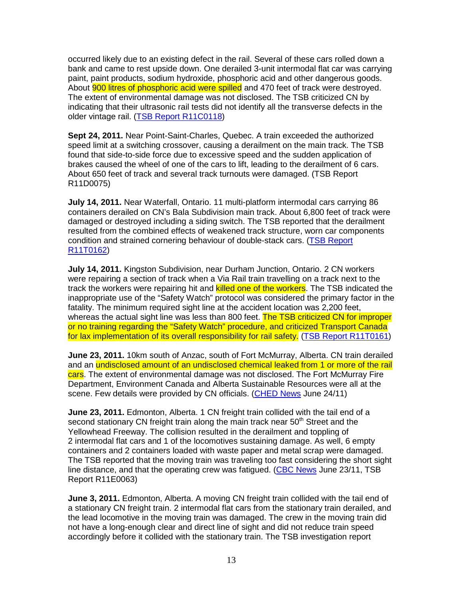occurred likely due to an existing defect in the rail. Several of these cars rolled down a bank and came to rest upside down. One derailed 3-unit intermodal flat car was carrying paint, paint products, sodium hydroxide, phosphoric acid and other dangerous goods. About **900 litres of phosphoric acid were spilled** and 470 feet of track were destroyed. The extent of environmental damage was not disclosed. The TSB criticized CN by indicating that their ultrasonic rail tests did not identify all the transverse defects in the older vintage rail. (TSB Report R11C0118)

**Sept 24, 2011.** Near Point-Saint-Charles, Quebec. A train exceeded the authorized speed limit at a switching crossover, causing a derailment on the main track. The TSB found that side-to-side force due to excessive speed and the sudden application of brakes caused the wheel of one of the cars to lift, leading to the derailment of 6 cars. About 650 feet of track and several track turnouts were damaged. (TSB Report R11D0075)

**July 14, 2011.** Near Waterfall, Ontario. 11 multi-platform intermodal cars carrying 86 containers derailed on CN's Bala Subdivision main track. About 6,800 feet of track were damaged or destroyed including a siding switch. The TSB reported that the derailment resulted from the combined effects of weakened track structure, worn car components condition and strained cornering behaviour of double-stack cars. (TSB Report R11T0162)

**July 14, 2011.** Kingston Subdivision, near Durham Junction, Ontario. 2 CN workers were repairing a section of track when a Via Rail train travelling on a track next to the track the workers were repairing hit and killed one of the workers. The TSB indicated the inappropriate use of the "Safety Watch" protocol was considered the primary factor in the fatality. The minimum required sight line at the accident location was 2,200 feet, whereas the actual sight line was less than 800 feet. The TSB criticized CN for improper or no training regarding the "Safety Watch" procedure, and criticized Transport Canada for lax implementation of its overall responsibility for rail safety. (TSB Report R11T0161)

**June 23, 2011.** 10km south of Anzac, south of Fort McMurray, Alberta. CN train derailed and an undisclosed amount of an undisclosed chemical leaked from 1 or more of the rail cars. The extent of environmental damage was not disclosed. The Fort McMurray Fire Department, Environment Canada and Alberta Sustainable Resources were all at the scene. Few details were provided by CN officials. (CHED News June 24/11)

**June 23, 2011.** Edmonton, Alberta. 1 CN freight train collided with the tail end of a second stationary CN freight train along the main track near 50<sup>th</sup> Street and the Yellowhead Freeway. The collision resulted in the derailment and toppling of 2 intermodal flat cars and 1 of the locomotives sustaining damage. As well, 6 empty containers and 2 containers loaded with waste paper and metal scrap were damaged. The TSB reported that the moving train was traveling too fast considering the short sight line distance, and that the operating crew was fatigued. (CBC News June 23/11, TSB Report R11E0063)

**June 3, 2011.** Edmonton, Alberta. A moving CN freight train collided with the tail end of a stationary CN freight train. 2 intermodal flat cars from the stationary train derailed, and the lead locomotive in the moving train was damaged. The crew in the moving train did not have a long-enough clear and direct line of sight and did not reduce train speed accordingly before it collided with the stationary train. The TSB investigation report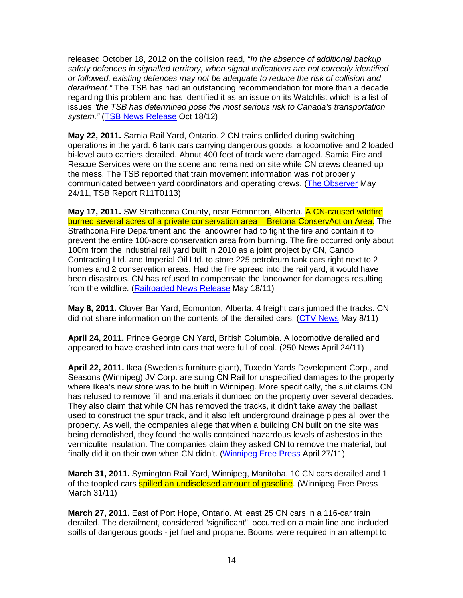released October 18, 2012 on the collision read, "In the absence of additional backup safety defences in signalled territory, when signal indications are not correctly identified or followed, existing defences may not be adequate to reduce the risk of collision and derailment." The TSB has had an outstanding recommendation for more than a decade regarding this problem and has identified it as an issue on its Watchlist which is a list of issues "the TSB has determined pose the most serious risk to Canada's transportation system." (TSB News Release Oct 18/12)

**May 22, 2011.** Sarnia Rail Yard, Ontario. 2 CN trains collided during switching operations in the yard. 6 tank cars carrying dangerous goods, a locomotive and 2 loaded bi-level auto carriers derailed. About 400 feet of track were damaged. Sarnia Fire and Rescue Services were on the scene and remained on site while CN crews cleaned up the mess. The TSB reported that train movement information was not properly communicated between yard coordinators and operating crews. (The Observer May 24/11, TSB Report R11T0113)

**May 17, 2011.** SW Strathcona County, near Edmonton, Alberta. A CN-caused wildfire burned several acres of a private conservation area – Bretona ConservAction Area. The Strathcona Fire Department and the landowner had to fight the fire and contain it to prevent the entire 100-acre conservation area from burning. The fire occurred only about 100m from the industrial rail yard built in 2010 as a joint project by CN, Cando Contracting Ltd. and Imperial Oil Ltd. to store 225 petroleum tank cars right next to 2 homes and 2 conservation areas. Had the fire spread into the rail yard, it would have been disastrous. CN has refused to compensate the landowner for damages resulting from the wildfire. (Railroaded News Release May 18/11)

**May 8, 2011.** Clover Bar Yard, Edmonton, Alberta. 4 freight cars jumped the tracks. CN did not share information on the contents of the derailed cars. (CTV News May 8/11)

**April 24, 2011.** Prince George CN Yard, British Columbia. A locomotive derailed and appeared to have crashed into cars that were full of coal. (250 News April 24/11)

**April 22, 2011.** Ikea (Sweden's furniture giant), Tuxedo Yards Development Corp., and Seasons (Winnipeg) JV Corp. are suing CN Rail for unspecified damages to the property where Ikea's new store was to be built in Winnipeg. More specifically, the suit claims CN has refused to remove fill and materials it dumped on the property over several decades. They also claim that while CN has removed the tracks, it didn't take away the ballast used to construct the spur track, and it also left underground drainage pipes all over the property. As well, the companies allege that when a building CN built on the site was being demolished, they found the walls contained hazardous levels of asbestos in the vermiculite insulation. The companies claim they asked CN to remove the material, but finally did it on their own when CN didn't. (Winnipeg Free Press April 27/11)

**March 31, 2011.** Symington Rail Yard, Winnipeg, Manitoba. 10 CN cars derailed and 1 of the toppled cars **spilled an undisclosed amount of gasoline**. (Winnipeg Free Press March 31/11)

**March 27, 2011.** East of Port Hope, Ontario. At least 25 CN cars in a 116-car train derailed. The derailment, considered "significant", occurred on a main line and included spills of dangerous goods - jet fuel and propane. Booms were required in an attempt to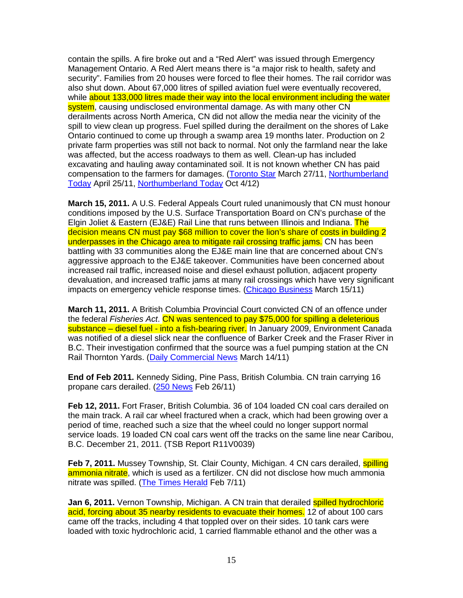contain the spills. A fire broke out and a "Red Alert" was issued through Emergency Management Ontario. A Red Alert means there is "a major risk to health, safety and security". Families from 20 houses were forced to flee their homes. The rail corridor was also shut down. About 67,000 litres of spilled aviation fuel were eventually recovered, while about 133,000 litres made their way into the local environment including the water system, causing undisclosed environmental damage. As with many other CN derailments across North America, CN did not allow the media near the vicinity of the spill to view clean up progress. Fuel spilled during the derailment on the shores of Lake Ontario continued to come up through a swamp area 19 months later. Production on 2 private farm properties was still not back to normal. Not only the farmland near the lake was affected, but the access roadways to them as well. Clean-up has included excavating and hauling away contaminated soil. It is not known whether CN has paid compensation to the farmers for damages. (Toronto Star March 27/11, Northumberland Today April 25/11, Northumberland Today Oct 4/12)

**March 15, 2011.** A U.S. Federal Appeals Court ruled unanimously that CN must honour conditions imposed by the U.S. Surface Transportation Board on CN's purchase of the Elgin Joliet & Eastern (EJ&E) Rail Line that runs between Illinois and Indiana. The decision means CN must pay \$68 million to cover the lion's share of costs in building 2 underpasses in the Chicago area to mitigate rail crossing traffic jams. CN has been battling with 33 communities along the EJ&E main line that are concerned about CN's aggressive approach to the EJ&E takeover. Communities have been concerned about increased rail traffic, increased noise and diesel exhaust pollution, adjacent property devaluation, and increased traffic jams at many rail crossings which have very significant impacts on emergency vehicle response times. (Chicago Business March 15/11)

**March 11, 2011.** A British Columbia Provincial Court convicted CN of an offence under the federal Fisheries Act. CN was sentenced to pay \$75,000 for spilling a deleterious substance – diesel fuel - into a fish-bearing river. In January 2009, Environment Canada was notified of a diesel slick near the confluence of Barker Creek and the Fraser River in B.C. Their investigation confirmed that the source was a fuel pumping station at the CN Rail Thornton Yards. (Daily Commercial News March 14/11)

**End of Feb 2011.** Kennedy Siding, Pine Pass, British Columbia. CN train carrying 16 propane cars derailed. (250 News Feb 26/11)

**Feb 12, 2011.** Fort Fraser, British Columbia. 36 of 104 loaded CN coal cars derailed on the main track. A rail car wheel fractured when a crack, which had been growing over a period of time, reached such a size that the wheel could no longer support normal service loads. 19 loaded CN coal cars went off the tracks on the same line near Caribou, B.C. December 21, 2011. (TSB Report R11V0039)

**Feb 7, 2011.** Mussey Township, St. Clair County, Michigan. 4 CN cars derailed, **spilling** ammonia nitrate, which is used as a fertilizer. CN did not disclose how much ammonia nitrate was spilled. (The Times Herald Feb 7/11)

**Jan 6, 2011.** Vernon Township, Michigan. A CN train that derailed spilled hydrochloric acid, forcing about 35 nearby residents to evacuate their homes. 12 of about 100 cars came off the tracks, including 4 that toppled over on their sides. 10 tank cars were loaded with toxic hydrochloric acid, 1 carried flammable ethanol and the other was a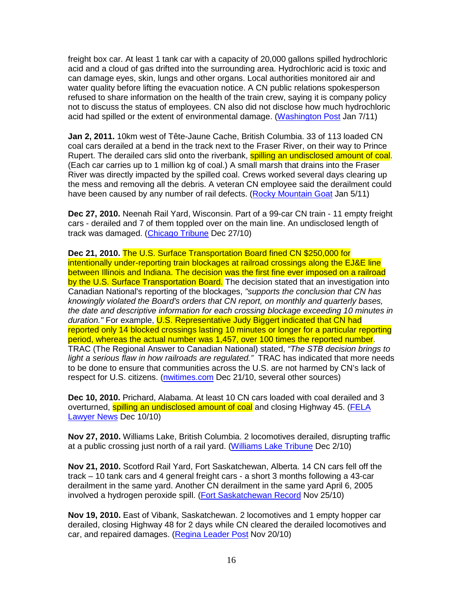freight box car. At least 1 tank car with a capacity of 20,000 gallons spilled hydrochloric acid and a cloud of gas drifted into the surrounding area. Hydrochloric acid is toxic and can damage eyes, skin, lungs and other organs. Local authorities monitored air and water quality before lifting the evacuation notice. A CN public relations spokesperson refused to share information on the health of the train crew, saying it is company policy not to discuss the status of employees. CN also did not disclose how much hydrochloric acid had spilled or the extent of environmental damage. (Washington Post Jan 7/11)

**Jan 2, 2011.** 10km west of Tête-Jaune Cache, British Columbia. 33 of 113 loaded CN coal cars derailed at a bend in the track next to the Fraser River, on their way to Prince Rupert. The derailed cars slid onto the riverbank, **spilling an undisclosed amount of coal**. (Each car carries up to 1 million kg of coal.) A small marsh that drains into the Fraser River was directly impacted by the spilled coal. Crews worked several days clearing up the mess and removing all the debris. A veteran CN employee said the derailment could have been caused by any number of rail defects. (Rocky Mountain Goat Jan 5/11)

**Dec 27, 2010.** Neenah Rail Yard, Wisconsin. Part of a 99-car CN train - 11 empty freight cars - derailed and 7 of them toppled over on the main line. An undisclosed length of track was damaged. (Chicago Tribune Dec 27/10)

**Dec 21, 2010.** The U.S. Surface Transportation Board fined CN \$250,000 for intentionally under-reporting train blockages at railroad crossings along the EJ&E line between Illinois and Indiana. The decision was the first fine ever imposed on a railroad by the U.S. Surface Transportation Board. The decision stated that an investigation into Canadian National's reporting of the blockages, "supports the conclusion that CN has knowingly violated the Board's orders that CN report, on monthly and quarterly bases, the date and descriptive information for each crossing blockage exceeding 10 minutes in duration." For example, U.S. Representative Judy Biggert indicated that CN had reported only 14 blocked crossings lasting 10 minutes or longer for a particular reporting period, whereas the actual number was 1,457, over 100 times the reported number. TRAC (The Regional Answer to Canadian National) stated, "The STB decision brings to light a serious flaw in how railroads are regulated." TRAC has indicated that more needs to be done to ensure that communities across the U.S. are not harmed by CN's lack of respect for U.S. citizens. (nwitimes.com Dec 21/10, several other sources)

**Dec 10, 2010.** Prichard, Alabama. At least 10 CN cars loaded with coal derailed and 3 overturned, spilling an undisclosed amount of coal and closing Highway 45. (FELA Lawyer News Dec 10/10)

**Nov 27, 2010.** Williams Lake, British Columbia. 2 locomotives derailed, disrupting traffic at a public crossing just north of a rail yard. (Williams Lake Tribune Dec 2/10)

**Nov 21, 2010.** Scotford Rail Yard, Fort Saskatchewan, Alberta. 14 CN cars fell off the track – 10 tank cars and 4 general freight cars - a short 3 months following a 43-car derailment in the same yard. Another CN derailment in the same yard April 6, 2005 involved a hydrogen peroxide spill. (Fort Saskatchewan Record Nov 25/10)

**Nov 19, 2010.** East of Vibank, Saskatchewan. 2 locomotives and 1 empty hopper car derailed, closing Highway 48 for 2 days while CN cleared the derailed locomotives and car, and repaired damages. (Regina Leader Post Nov 20/10)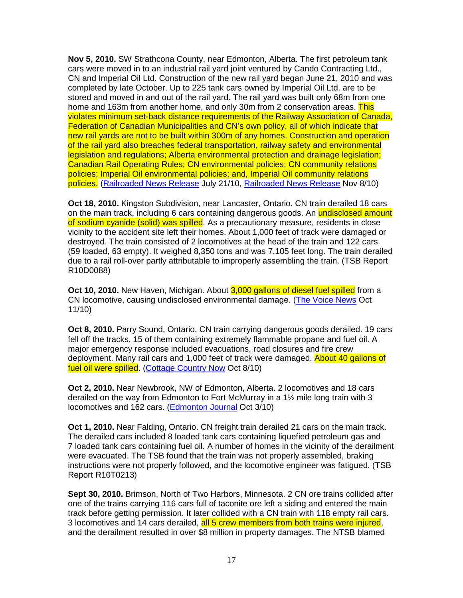**Nov 5, 2010.** SW Strathcona County, near Edmonton, Alberta. The first petroleum tank cars were moved in to an industrial rail yard joint ventured by Cando Contracting Ltd., CN and Imperial Oil Ltd. Construction of the new rail yard began June 21, 2010 and was completed by late October. Up to 225 tank cars owned by Imperial Oil Ltd. are to be stored and moved in and out of the rail yard. The rail yard was built only 68m from one home and 163m from another home, and only 30m from 2 conservation areas. This violates minimum set-back distance requirements of the Railway Association of Canada, Federation of Canadian Municipalities and CN's own policy, all of which indicate that new rail yards are not to be built within 300m of any homes. Construction and operation of the rail yard also breaches federal transportation, railway safety and environmental legislation and regulations; Alberta environmental protection and drainage legislation; Canadian Rail Operating Rules; CN environmental policies; CN community relations policies; Imperial Oil environmental policies; and, Imperial Oil community relations policies. (Railroaded News Release July 21/10, Railroaded News Release Nov 8/10)

**Oct 18, 2010.** Kingston Subdivision, near Lancaster, Ontario. CN train derailed 18 cars on the main track, including 6 cars containing dangerous goods. An undisclosed amount of sodium cyanide (solid) was spilled. As a precautionary measure, residents in close vicinity to the accident site left their homes. About 1,000 feet of track were damaged or destroyed. The train consisted of 2 locomotives at the head of the train and 122 cars (59 loaded, 63 empty). It weighed 8,350 tons and was 7,105 feet long. The train derailed due to a rail roll-over partly attributable to improperly assembling the train. (TSB Report R10D0088)

**Oct 10, 2010.** New Haven, Michigan. About 3,000 gallons of diesel fuel spilled from a CN locomotive, causing undisclosed environmental damage. (The Voice News Oct 11/10)

**Oct 8, 2010.** Parry Sound, Ontario. CN train carrying dangerous goods derailed. 19 cars fell off the tracks, 15 of them containing extremely flammable propane and fuel oil. A major emergency response included evacuations, road closures and fire crew deployment. Many rail cars and 1,000 feet of track were damaged. About 40 gallons of fuel oil were spilled. (Cottage Country Now Oct 8/10)

**Oct 2, 2010.** Near Newbrook, NW of Edmonton, Alberta. 2 locomotives and 18 cars derailed on the way from Edmonton to Fort McMurray in a 1½ mile long train with 3 locomotives and 162 cars. (**Edmonton Journal Oct 3/10**)

**Oct 1, 2010.** Near Falding, Ontario. CN freight train derailed 21 cars on the main track. The derailed cars included 8 loaded tank cars containing liquefied petroleum gas and 7 loaded tank cars containing fuel oil. A number of homes in the vicinity of the derailment were evacuated. The TSB found that the train was not properly assembled, braking instructions were not properly followed, and the locomotive engineer was fatigued. (TSB Report R10T0213)

**Sept 30, 2010.** Brimson, North of Two Harbors, Minnesota. 2 CN ore trains collided after one of the trains carrying 116 cars full of taconite ore left a siding and entered the main track before getting permission. It later collided with a CN train with 118 empty rail cars. 3 locomotives and 14 cars derailed, all 5 crew members from both trains were injured, and the derailment resulted in over \$8 million in property damages. The NTSB blamed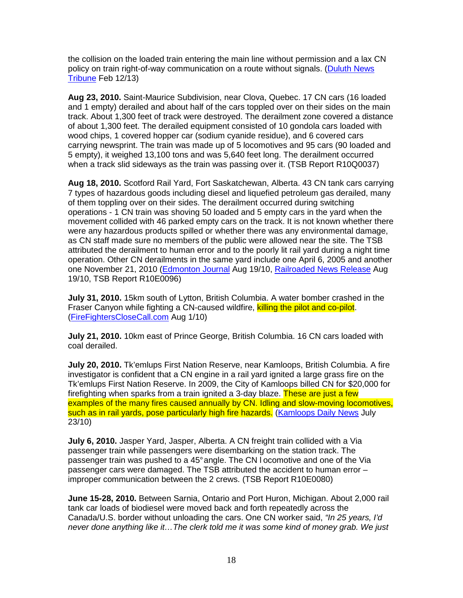the collision on the loaded train entering the main line without permission and a lax CN policy on train right-of-way communication on a route without signals. (Duluth News Tribune Feb 12/13)

**Aug 23, 2010.** Saint-Maurice Subdivision, near Clova, Quebec. 17 CN cars (16 loaded and 1 empty) derailed and about half of the cars toppled over on their sides on the main track. About 1,300 feet of track were destroyed. The derailment zone covered a distance of about 1,300 feet. The derailed equipment consisted of 10 gondola cars loaded with wood chips, 1 covered hopper car (sodium cyanide residue), and 6 covered cars carrying newsprint. The train was made up of 5 locomotives and 95 cars (90 loaded and 5 empty), it weighed 13,100 tons and was 5,640 feet long. The derailment occurred when a track slid sideways as the train was passing over it. (TSB Report R10Q0037)

**Aug 18, 2010.** Scotford Rail Yard, Fort Saskatchewan, Alberta. 43 CN tank cars carrying 7 types of hazardous goods including diesel and liquefied petroleum gas derailed, many of them toppling over on their sides. The derailment occurred during switching operations - 1 CN train was shoving 50 loaded and 5 empty cars in the yard when the movement collided with 46 parked empty cars on the track. It is not known whether there were any hazardous products spilled or whether there was any environmental damage, as CN staff made sure no members of the public were allowed near the site. The TSB attributed the derailment to human error and to the poorly lit rail yard during a night time operation. Other CN derailments in the same yard include one April 6, 2005 and another one November 21, 2010 (Edmonton Journal Aug 19/10, Railroaded News Release Aug 19/10, TSB Report R10E0096)

**July 31, 2010.** 15km south of Lytton, British Columbia. A water bomber crashed in the Fraser Canyon while fighting a CN-caused wildfire, killing the pilot and co-pilot. (FireFightersCloseCall.com Aug 1/10)

**July 21, 2010.** 10km east of Prince George, British Columbia. 16 CN cars loaded with coal derailed.

**July 20, 2010.** Tk'emlups First Nation Reserve, near Kamloops, British Columbia. A fire investigator is confident that a CN engine in a rail yard ignited a large grass fire on the Tk'emlups First Nation Reserve. In 2009, the City of Kamloops billed CN for \$20,000 for firefighting when sparks from a train ignited a 3-day blaze. These are just a few examples of the many fires caused annually by CN. Idling and slow-moving locomotives, such as in rail yards, pose particularly high fire hazards. (Kamloops Daily News July 23/10)

**July 6, 2010.** Jasper Yard, Jasper, Alberta. A CN freight train collided with a Via passenger train while passengers were disembarking on the station track. The passenger train was pushed to a 45° angle. The CN l ocomotive and one of the Via passenger cars were damaged. The TSB attributed the accident to human error – improper communication between the 2 crews. (TSB Report R10E0080)

**June 15-28, 2010.** Between Sarnia, Ontario and Port Huron, Michigan. About 2,000 rail tank car loads of biodiesel were moved back and forth repeatedly across the Canada/U.S. border without unloading the cars. One CN worker said, "In 25 years, I'd never done anything like it…The clerk told me it was some kind of money grab. We just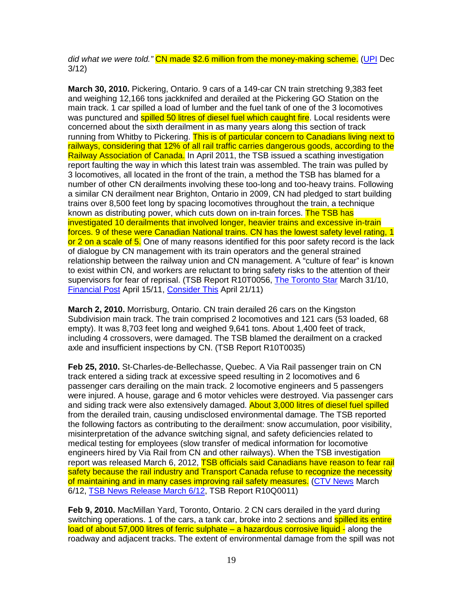did what we were told." CN made \$2.6 million from the money-making scheme. (UPI Dec 3/12)

**March 30, 2010.** Pickering, Ontario. 9 cars of a 149-car CN train stretching 9,383 feet and weighing 12,166 tons jackknifed and derailed at the Pickering GO Station on the main track. 1 car spilled a load of lumber and the fuel tank of one of the 3 locomotives was punctured and **spilled 50 litres of diesel fuel which caught fire**. Local residents were concerned about the sixth derailment in as many years along this section of track running from Whitby to Pickering. This is of particular concern to Canadians living next to railways, considering that 12% of all rail traffic carries dangerous goods, according to the Railway Association of Canada. In April 2011, the TSB issued a scathing investigation report faulting the way in which this latest train was assembled. The train was pulled by 3 locomotives, all located in the front of the train, a method the TSB has blamed for a number of other CN derailments involving these too-long and too-heavy trains. Following a similar CN derailment near Brighton, Ontario in 2009, CN had pledged to start building trains over 8,500 feet long by spacing locomotives throughout the train, a technique known as distributing power, which cuts down on in-train forces. The TSB has investigated 10 derailments that involved longer, heavier trains and excessive in-train forces. 9 of these were Canadian National trains. CN has the lowest safety level rating, 1 or 2 on a scale of 5. One of many reasons identified for this poor safety record is the lack of dialogue by CN management with its train operators and the general strained relationship between the railway union and CN management. A "culture of fear" is known to exist within CN, and workers are reluctant to bring safety risks to the attention of their supervisors for fear of reprisal. (TSB Report R10T0056, The Toronto Star March 31/10, Financial Post April 15/11, Consider This April 21/11)

**March 2, 2010.** Morrisburg, Ontario. CN train derailed 26 cars on the Kingston Subdivision main track. The train comprised 2 locomotives and 121 cars (53 loaded, 68 empty). It was 8,703 feet long and weighed 9,641 tons. About 1,400 feet of track, including 4 crossovers, were damaged. The TSB blamed the derailment on a cracked axle and insufficient inspections by CN. (TSB Report R10T0035)

**Feb 25, 2010.** St-Charles-de-Bellechasse, Quebec. A Via Rail passenger train on CN track entered a siding track at excessive speed resulting in 2 locomotives and 6 passenger cars derailing on the main track. 2 locomotive engineers and 5 passengers were injured. A house, garage and 6 motor vehicles were destroyed. Via passenger cars and siding track were also extensively damaged. About 3,000 litres of diesel fuel spilled from the derailed train, causing undisclosed environmental damage. The TSB reported the following factors as contributing to the derailment: snow accumulation, poor visibility, misinterpretation of the advance switching signal, and safety deficiencies related to medical testing for employees (slow transfer of medical information for locomotive engineers hired by Via Rail from CN and other railways). When the TSB investigation report was released March 6, 2012, TSB officials said Canadians have reason to fear rail safety because the rail industry and Transport Canada refuse to recognize the necessity of maintaining and in many cases improving rail safety measures. (CTV News March 6/12, TSB News Release March 6/12, TSB Report R10Q0011)

**Feb 9, 2010.** MacMillan Yard, Toronto, Ontario. 2 CN cars derailed in the yard during switching operations. 1 of the cars, a tank car, broke into 2 sections and spilled its entire load of about 57,000 litres of ferric sulphate – a hazardous corrosive liquid - along the roadway and adjacent tracks. The extent of environmental damage from the spill was not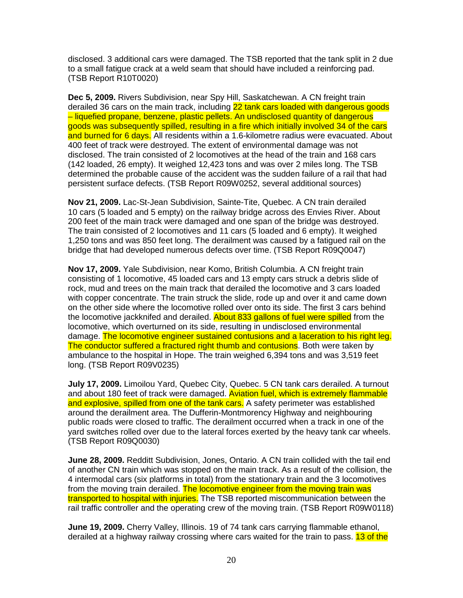disclosed. 3 additional cars were damaged. The TSB reported that the tank split in 2 due to a small fatigue crack at a weld seam that should have included a reinforcing pad. (TSB Report R10T0020)

**Dec 5, 2009.** Rivers Subdivision, near Spy Hill, Saskatchewan. A CN freight train derailed 36 cars on the main track, including 22 tank cars loaded with dangerous goods – liquefied propane, benzene, plastic pellets. An undisclosed quantity of dangerous goods was subsequently spilled, resulting in a fire which initially involved 34 of the cars and burned for 6 days. All residents within a 1.6-kilometre radius were evacuated. About 400 feet of track were destroyed. The extent of environmental damage was not disclosed. The train consisted of 2 locomotives at the head of the train and 168 cars (142 loaded, 26 empty). It weighed 12,423 tons and was over 2 miles long. The TSB determined the probable cause of the accident was the sudden failure of a rail that had persistent surface defects. (TSB Report R09W0252, several additional sources)

**Nov 21, 2009.** Lac-St-Jean Subdivision, Sainte-Tite, Quebec. A CN train derailed 10 cars (5 loaded and 5 empty) on the railway bridge across des Envies River. About 200 feet of the main track were damaged and one span of the bridge was destroyed. The train consisted of 2 locomotives and 11 cars (5 loaded and 6 empty). It weighed 1,250 tons and was 850 feet long. The derailment was caused by a fatigued rail on the bridge that had developed numerous defects over time. (TSB Report R09Q0047)

**Nov 17, 2009.** Yale Subdivision, near Komo, British Columbia. A CN freight train consisting of 1 locomotive, 45 loaded cars and 13 empty cars struck a debris slide of rock, mud and trees on the main track that derailed the locomotive and 3 cars loaded with copper concentrate. The train struck the slide, rode up and over it and came down on the other side where the locomotive rolled over onto its side. The first 3 cars behind the locomotive jackknifed and derailed. About 833 gallons of fuel were spilled from the locomotive, which overturned on its side, resulting in undisclosed environmental damage. The locomotive engineer sustained contusions and a laceration to his right leg. The conductor suffered a fractured right thumb and contusions. Both were taken by ambulance to the hospital in Hope. The train weighed 6,394 tons and was 3,519 feet long. (TSB Report R09V0235)

**July 17, 2009.** Limoilou Yard, Quebec City, Quebec. 5 CN tank cars derailed. A turnout and about 180 feet of track were damaged. Aviation fuel, which is extremely flammable and explosive, spilled from one of the tank cars. A safety perimeter was established around the derailment area. The Dufferin-Montmorency Highway and neighbouring public roads were closed to traffic. The derailment occurred when a track in one of the yard switches rolled over due to the lateral forces exerted by the heavy tank car wheels. (TSB Report R09Q0030)

**June 28, 2009.** Redditt Subdivision, Jones, Ontario. A CN train collided with the tail end of another CN train which was stopped on the main track. As a result of the collision, the 4 intermodal cars (six platforms in total) from the stationary train and the 3 locomotives from the moving train derailed. The locomotive engineer from the moving train was transported to hospital with injuries. The TSB reported miscommunication between the rail traffic controller and the operating crew of the moving train. (TSB Report R09W0118)

**June 19, 2009.** Cherry Valley, Illinois. 19 of 74 tank cars carrying flammable ethanol, derailed at a highway railway crossing where cars waited for the train to pass. 13 of the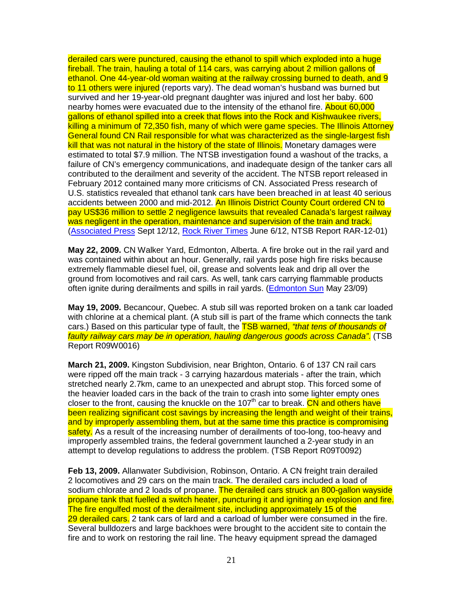derailed cars were punctured, causing the ethanol to spill which exploded into a huge fireball. The train, hauling a total of 114 cars, was carrying about 2 million gallons of ethanol. One 44-year-old woman waiting at the railway crossing burned to death, and 9 to 11 others were injured (reports vary). The dead woman's husband was burned but survived and her 19-year-old pregnant daughter was injured and lost her baby. 600 nearby homes were evacuated due to the intensity of the ethanol fire. About 60,000 gallons of ethanol spilled into a creek that flows into the Rock and Kishwaukee rivers, killing a minimum of 72,350 fish, many of which were game species. The Illinois Attorney General found CN Rail responsible for what was characterized as the single-largest fish kill that was not natural in the history of the state of Illinois. Monetary damages were estimated to total \$7.9 million. The NTSB investigation found a washout of the tracks, a failure of CN's emergency communications, and inadequate design of the tanker cars all contributed to the derailment and severity of the accident. The NTSB report released in February 2012 contained many more criticisms of CN. Associated Press research of U.S. statistics revealed that ethanol tank cars have been breached in at least 40 serious accidents between 2000 and mid-2012. An Illinois District County Court ordered CN to pay US\$36 million to settle 2 negligence lawsuits that revealed Canada's largest railway was negligent in the operation, maintenance and supervision of the train and track. (Associated Press Sept 12/12, Rock River Times June 6/12, NTSB Report RAR-12-01)

**May 22, 2009.** CN Walker Yard, Edmonton, Alberta. A fire broke out in the rail yard and was contained within about an hour. Generally, rail yards pose high fire risks because extremely flammable diesel fuel, oil, grease and solvents leak and drip all over the ground from locomotives and rail cars. As well, tank cars carrying flammable products often ignite during derailments and spills in rail yards. (Edmonton Sun May 23/09)

**May 19, 2009.** Becancour, Quebec. A stub sill was reported broken on a tank car loaded with chlorine at a chemical plant. (A stub sill is part of the frame which connects the tank cars.) Based on this particular type of fault, the TSB warned, "that tens of thousands of faulty railway cars may be in operation, hauling dangerous goods across Canada". (TSB Report R09W0016)

**March 21, 2009.** Kingston Subdivision, near Brighton, Ontario. 6 of 137 CN rail cars were ripped off the main track - 3 carrying hazardous materials - after the train, which stretched nearly 2.7km, came to an unexpected and abrupt stop. This forced some of the heavier loaded cars in the back of the train to crash into some lighter empty ones closer to the front, causing the knuckle on the 107<sup>th</sup> car to break.  $\overrightarrow{CN}$  and others have been realizing significant cost savings by increasing the length and weight of their trains, and by improperly assembling them, but at the same time this practice is compromising safety. As a result of the increasing number of derailments of too-long, too-heavy and improperly assembled trains, the federal government launched a 2-year study in an attempt to develop regulations to address the problem. (TSB Report R09T0092)

**Feb 13, 2009.** Allanwater Subdivision, Robinson, Ontario. A CN freight train derailed 2 locomotives and 29 cars on the main track. The derailed cars included a load of sodium chlorate and 2 loads of propane. The derailed cars struck an 800-gallon wayside propane tank that fuelled a switch heater, puncturing it and igniting an explosion and fire. The fire engulfed most of the derailment site, including approximately 15 of the 29 derailed cars. 2 tank cars of lard and a carload of lumber were consumed in the fire. Several bulldozers and large backhoes were brought to the accident site to contain the fire and to work on restoring the rail line. The heavy equipment spread the damaged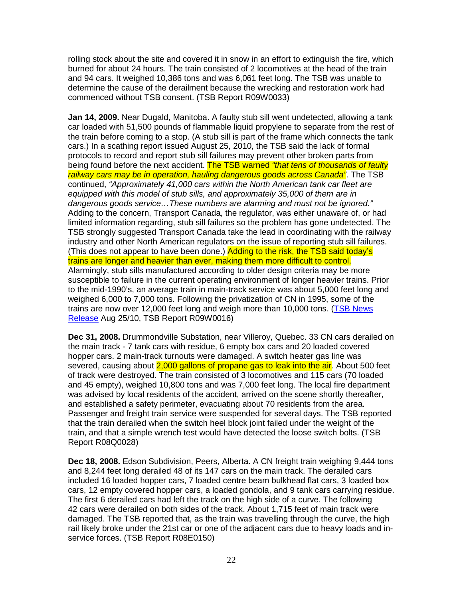rolling stock about the site and covered it in snow in an effort to extinguish the fire, which burned for about 24 hours. The train consisted of 2 locomotives at the head of the train and 94 cars. It weighed 10,386 tons and was 6,061 feet long. The TSB was unable to determine the cause of the derailment because the wrecking and restoration work had commenced without TSB consent. (TSB Report R09W0033)

**Jan 14, 2009.** Near Dugald, Manitoba. A faulty stub sill went undetected, allowing a tank car loaded with 51,500 pounds of flammable liquid propylene to separate from the rest of the train before coming to a stop. (A stub sill is part of the frame which connects the tank cars.) In a scathing report issued August 25, 2010, the TSB said the lack of formal protocols to record and report stub sill failures may prevent other broken parts from being found before the next accident. The TSB warned "that tens of thousands of faulty railway cars may be in operation, hauling dangerous goods across Canada". The TSB continued, "Approximately 41,000 cars within the North American tank car fleet are equipped with this model of stub sills, and approximately 35,000 of them are in dangerous goods service…These numbers are alarming and must not be ignored." Adding to the concern, Transport Canada, the regulator, was either unaware of, or had limited information regarding, stub sill failures so the problem has gone undetected. The TSB strongly suggested Transport Canada take the lead in coordinating with the railway industry and other North American regulators on the issue of reporting stub sill failures. (This does not appear to have been done.) Adding to the risk, the TSB said today's trains are longer and heavier than ever, making them more difficult to control. Alarmingly, stub sills manufactured according to older design criteria may be more susceptible to failure in the current operating environment of longer heavier trains. Prior to the mid-1990's, an average train in main-track service was about 5,000 feet long and weighed 6,000 to 7,000 tons. Following the privatization of CN in 1995, some of the trains are now over 12,000 feet long and weigh more than 10,000 tons. (TSB News Release Aug 25/10, TSB Report R09W0016)

**Dec 31, 2008.** Drummondville Substation, near Villeroy, Quebec. 33 CN cars derailed on the main track - 7 tank cars with residue, 6 empty box cars and 20 loaded covered hopper cars. 2 main-track turnouts were damaged. A switch heater gas line was severed, causing about 2,000 gallons of propane gas to leak into the air. About 500 feet of track were destroyed. The train consisted of 3 locomotives and 115 cars (70 loaded and 45 empty), weighed 10,800 tons and was 7,000 feet long. The local fire department was advised by local residents of the accident, arrived on the scene shortly thereafter, and established a safety perimeter, evacuating about 70 residents from the area. Passenger and freight train service were suspended for several days. The TSB reported that the train derailed when the switch heel block joint failed under the weight of the train, and that a simple wrench test would have detected the loose switch bolts. (TSB Report R08Q0028)

**Dec 18, 2008.** Edson Subdivision, Peers, Alberta. A CN freight train weighing 9,444 tons and 8,244 feet long derailed 48 of its 147 cars on the main track. The derailed cars included 16 loaded hopper cars, 7 loaded centre beam bulkhead flat cars, 3 loaded box cars, 12 empty covered hopper cars, a loaded gondola, and 9 tank cars carrying residue. The first 6 derailed cars had left the track on the high side of a curve. The following 42 cars were derailed on both sides of the track. About 1,715 feet of main track were damaged. The TSB reported that, as the train was travelling through the curve, the high rail likely broke under the 21st car or one of the adjacent cars due to heavy loads and inservice forces. (TSB Report R08E0150)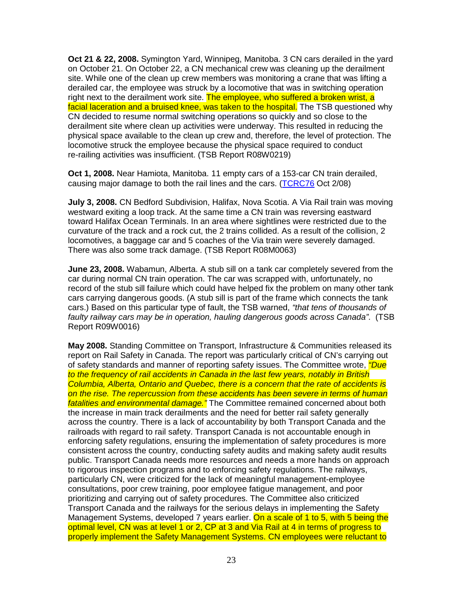**Oct 21 & 22, 2008.** Symington Yard, Winnipeg, Manitoba. 3 CN cars derailed in the yard on October 21. On October 22, a CN mechanical crew was cleaning up the derailment site. While one of the clean up crew members was monitoring a crane that was lifting a derailed car, the employee was struck by a locomotive that was in switching operation right next to the derailment work site. The employee, who suffered a broken wrist, a facial laceration and a bruised knee, was taken to the hospital. The TSB questioned why CN decided to resume normal switching operations so quickly and so close to the derailment site where clean up activities were underway. This resulted in reducing the physical space available to the clean up crew and, therefore, the level of protection. The locomotive struck the employee because the physical space required to conduct re-railing activities was insufficient. (TSB Report R08W0219)

**Oct 1, 2008.** Near Hamiota, Manitoba. 11 empty cars of a 153-car CN train derailed, causing major damage to both the rail lines and the cars. (TCRC76 Oct 2/08)

**July 3, 2008.** CN Bedford Subdivision, Halifax, Nova Scotia. A Via Rail train was moving westward exiting a loop track. At the same time a CN train was reversing eastward toward Halifax Ocean Terminals. In an area where sightlines were restricted due to the curvature of the track and a rock cut, the 2 trains collided. As a result of the collision, 2 locomotives, a baggage car and 5 coaches of the Via train were severely damaged. There was also some track damage. (TSB Report R08M0063)

**June 23, 2008.** Wabamun, Alberta. A stub sill on a tank car completely severed from the car during normal CN train operation. The car was scrapped with, unfortunately, no record of the stub sill failure which could have helped fix the problem on many other tank cars carrying dangerous goods. (A stub sill is part of the frame which connects the tank cars.) Based on this particular type of fault, the TSB warned, "that tens of thousands of faulty railway cars may be in operation, hauling dangerous goods across Canada". (TSB Report R09W0016)

**May 2008.** Standing Committee on Transport, Infrastructure & Communities released its report on Rail Safety in Canada. The report was particularly critical of CN's carrying out of safety standards and manner of reporting safety issues. The Committee wrote, *"Due* to the frequency of rail accidents in Canada in the last few years, notably in British Columbia, Alberta, Ontario and Quebec, there is a concern that the rate of accidents is on the rise. The repercussion from these accidents has been severe in terms of human fatalities and environmental damage." The Committee remained concerned about both the increase in main track derailments and the need for better rail safety generally across the country. There is a lack of accountability by both Transport Canada and the railroads with regard to rail safety. Transport Canada is not accountable enough in enforcing safety regulations, ensuring the implementation of safety procedures is more consistent across the country, conducting safety audits and making safety audit results public. Transport Canada needs more resources and needs a more hands on approach to rigorous inspection programs and to enforcing safety regulations. The railways, particularly CN, were criticized for the lack of meaningful management-employee consultations, poor crew training, poor employee fatigue management, and poor prioritizing and carrying out of safety procedures. The Committee also criticized Transport Canada and the railways for the serious delays in implementing the Safety Management Systems, developed 7 years earlier. On a scale of 1 to 5, with 5 being the optimal level, CN was at level 1 or 2, CP at 3 and Via Rail at 4 in terms of progress to properly implement the Safety Management Systems. CN employees were reluctant to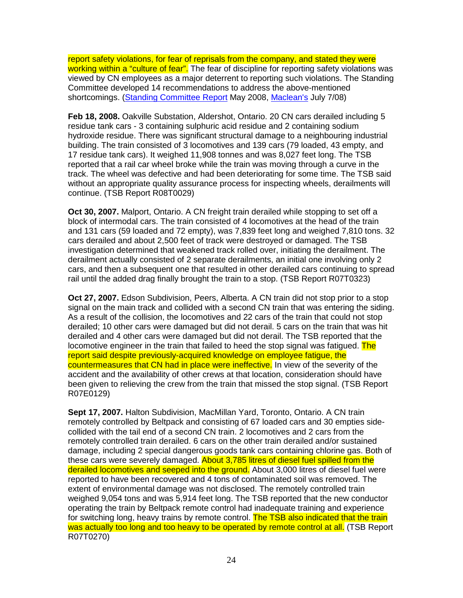report safety violations, for fear of reprisals from the company, and stated they were working within a "culture of fear". The fear of discipline for reporting safety violations was viewed by CN employees as a major deterrent to reporting such violations. The Standing Committee developed 14 recommendations to address the above-mentioned shortcomings. (Standing Committee Report May 2008, Maclean's July 7/08)

**Feb 18, 2008.** Oakville Substation, Aldershot, Ontario. 20 CN cars derailed including 5 residue tank cars - 3 containing sulphuric acid residue and 2 containing sodium hydroxide residue. There was significant structural damage to a neighbouring industrial building. The train consisted of 3 locomotives and 139 cars (79 loaded, 43 empty, and 17 residue tank cars). It weighed 11,908 tonnes and was 8,027 feet long. The TSB reported that a rail car wheel broke while the train was moving through a curve in the track. The wheel was defective and had been deteriorating for some time. The TSB said without an appropriate quality assurance process for inspecting wheels, derailments will continue. (TSB Report R08T0029)

**Oct 30, 2007.** Malport, Ontario. A CN freight train derailed while stopping to set off a block of intermodal cars. The train consisted of 4 locomotives at the head of the train and 131 cars (59 loaded and 72 empty), was 7,839 feet long and weighed 7,810 tons. 32 cars derailed and about 2,500 feet of track were destroyed or damaged. The TSB investigation determined that weakened track rolled over, initiating the derailment. The derailment actually consisted of 2 separate derailments, an initial one involving only 2 cars, and then a subsequent one that resulted in other derailed cars continuing to spread rail until the added drag finally brought the train to a stop. (TSB Report R07T0323)

**Oct 27, 2007.** Edson Subdivision, Peers, Alberta. A CN train did not stop prior to a stop signal on the main track and collided with a second CN train that was entering the siding. As a result of the collision, the locomotives and 22 cars of the train that could not stop derailed; 10 other cars were damaged but did not derail. 5 cars on the train that was hit derailed and 4 other cars were damaged but did not derail. The TSB reported that the locomotive engineer in the train that failed to heed the stop signal was fatigued. The report said despite previously-acquired knowledge on employee fatigue, the countermeasures that CN had in place were ineffective. In view of the severity of the accident and the availability of other crews at that location, consideration should have been given to relieving the crew from the train that missed the stop signal. (TSB Report R07E0129)

**Sept 17, 2007.** Halton Subdivision, MacMillan Yard, Toronto, Ontario. A CN train remotely controlled by Beltpack and consisting of 67 loaded cars and 30 empties sidecollided with the tail end of a second CN train. 2 locomotives and 2 cars from the remotely controlled train derailed. 6 cars on the other train derailed and/or sustained damage, including 2 special dangerous goods tank cars containing chlorine gas. Both of these cars were severely damaged. About 3,785 litres of diesel fuel spilled from the derailed locomotives and seeped into the ground. About 3,000 litres of diesel fuel were reported to have been recovered and 4 tons of contaminated soil was removed. The extent of environmental damage was not disclosed. The remotely controlled train weighed 9,054 tons and was 5,914 feet long. The TSB reported that the new conductor operating the train by Beltpack remote control had inadequate training and experience for switching long, heavy trains by remote control. The TSB also indicated that the train was actually too long and too heavy to be operated by remote control at all. (TSB Report R07T0270)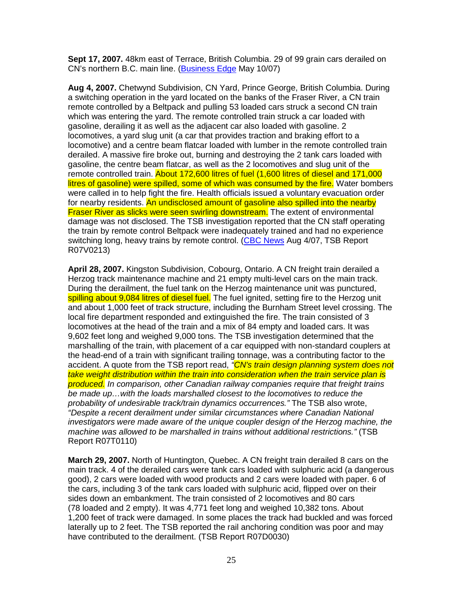**Sept 17, 2007.** 48km east of Terrace, British Columbia. 29 of 99 grain cars derailed on CN's northern B.C. main line. (Business Edge May 10/07)

**Aug 4, 2007.** Chetwynd Subdivision, CN Yard, Prince George, British Columbia. During a switching operation in the yard located on the banks of the Fraser River, a CN train remote controlled by a Beltpack and pulling 53 loaded cars struck a second CN train which was entering the yard. The remote controlled train struck a car loaded with gasoline, derailing it as well as the adjacent car also loaded with gasoline. 2 locomotives, a yard slug unit (a car that provides traction and braking effort to a locomotive) and a centre beam flatcar loaded with lumber in the remote controlled train derailed. A massive fire broke out, burning and destroying the 2 tank cars loaded with gasoline, the centre beam flatcar, as well as the 2 locomotives and slug unit of the remote controlled train. About 172,600 litres of fuel (1,600 litres of diesel and 171,000 litres of gasoline) were spilled, some of which was consumed by the fire. Water bombers were called in to help fight the fire. Health officials issued a voluntary evacuation order for nearby residents. An undisclosed amount of gasoline also spilled into the nearby **Fraser River as slicks were seen swirling downstream.** The extent of environmental damage was not disclosed. The TSB investigation reported that the CN staff operating the train by remote control Beltpack were inadequately trained and had no experience switching long, heavy trains by remote control. (CBC News Aug 4/07, TSB Report R07V0213)

**April 28, 2007.** Kingston Subdivision, Cobourg, Ontario. A CN freight train derailed a Herzog track maintenance machine and 21 empty multi-level cars on the main track. During the derailment, the fuel tank on the Herzog maintenance unit was punctured, spilling about 9,084 litres of diesel fuel. The fuel ignited, setting fire to the Herzog unit and about 1,000 feet of track structure, including the Burnham Street level crossing. The local fire department responded and extinguished the fire. The train consisted of 3 locomotives at the head of the train and a mix of 84 empty and loaded cars. It was 9,602 feet long and weighed 9,000 tons. The TSB investigation determined that the marshalling of the train, with placement of a car equipped with non-standard couplers at the head-end of a train with significant trailing tonnage, was a contributing factor to the accident. A quote from the TSB report read, "CN's train design planning system does not take weight distribution within the train into consideration when the train service plan is produced. In comparison, other Canadian railway companies require that freight trains be made up…with the loads marshalled closest to the locomotives to reduce the probability of undesirable track/train dynamics occurrences." The TSB also wrote, "Despite a recent derailment under similar circumstances where Canadian National investigators were made aware of the unique coupler design of the Herzog machine, the machine was allowed to be marshalled in trains without additional restrictions." (TSB Report R07T0110)

**March 29, 2007.** North of Huntington, Quebec. A CN freight train derailed 8 cars on the main track. 4 of the derailed cars were tank cars loaded with sulphuric acid (a dangerous good), 2 cars were loaded with wood products and 2 cars were loaded with paper. 6 of the cars, including 3 of the tank cars loaded with sulphuric acid, flipped over on their sides down an embankment. The train consisted of 2 locomotives and 80 cars (78 loaded and 2 empty). It was 4,771 feet long and weighed 10,382 tons. About 1,200 feet of track were damaged. In some places the track had buckled and was forced laterally up to 2 feet. The TSB reported the rail anchoring condition was poor and may have contributed to the derailment. (TSB Report R07D0030)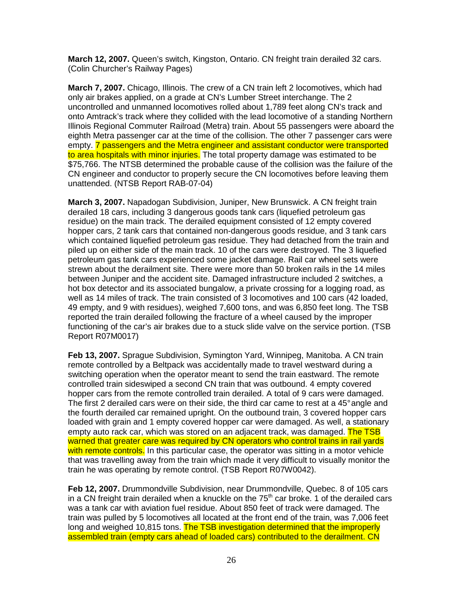**March 12, 2007.** Queen's switch, Kingston, Ontario. CN freight train derailed 32 cars. (Colin Churcher's Railway Pages)

**March 7, 2007.** Chicago, Illinois. The crew of a CN train left 2 locomotives, which had only air brakes applied, on a grade at CN's Lumber Street interchange. The 2 uncontrolled and unmanned locomotives rolled about 1,789 feet along CN's track and onto Amtrack's track where they collided with the lead locomotive of a standing Northern Illinois Regional Commuter Railroad (Metra) train. About 55 passengers were aboard the eighth Metra passenger car at the time of the collision. The other 7 passenger cars were empty. 7 passengers and the Metra engineer and assistant conductor were transported to area hospitals with minor injuries. The total property damage was estimated to be \$75,766. The NTSB determined the probable cause of the collision was the failure of the CN engineer and conductor to properly secure the CN locomotives before leaving them unattended. (NTSB Report RAB-07-04)

**March 3, 2007.** Napadogan Subdivision, Juniper, New Brunswick. A CN freight train derailed 18 cars, including 3 dangerous goods tank cars (liquefied petroleum gas residue) on the main track. The derailed equipment consisted of 12 empty covered hopper cars, 2 tank cars that contained non-dangerous goods residue, and 3 tank cars which contained liquefied petroleum gas residue. They had detached from the train and piled up on either side of the main track. 10 of the cars were destroyed. The 3 liquefied petroleum gas tank cars experienced some jacket damage. Rail car wheel sets were strewn about the derailment site. There were more than 50 broken rails in the 14 miles between Juniper and the accident site. Damaged infrastructure included 2 switches, a hot box detector and its associated bungalow, a private crossing for a logging road, as well as 14 miles of track. The train consisted of 3 locomotives and 100 cars (42 loaded, 49 empty, and 9 with residues), weighed 7,600 tons, and was 6,850 feet long. The TSB reported the train derailed following the fracture of a wheel caused by the improper functioning of the car's air brakes due to a stuck slide valve on the service portion. (TSB Report R07M0017)

**Feb 13, 2007.** Sprague Subdivision, Symington Yard, Winnipeg, Manitoba. A CN train remote controlled by a Beltpack was accidentally made to travel westward during a switching operation when the operator meant to send the train eastward. The remote controlled train sideswiped a second CN train that was outbound. 4 empty covered hopper cars from the remote controlled train derailed. A total of 9 cars were damaged. The first 2 derailed cars were on their side, the third car came to rest at a 45° angle and the fourth derailed car remained upright. On the outbound train, 3 covered hopper cars loaded with grain and 1 empty covered hopper car were damaged. As well, a stationary empty auto rack car, which was stored on an adiacent track, was damaged. The TSB warned that greater care was required by CN operators who control trains in rail yards with remote controls. In this particular case, the operator was sitting in a motor vehicle that was travelling away from the train which made it very difficult to visually monitor the train he was operating by remote control. (TSB Report R07W0042).

**Feb 12, 2007.** Drummondville Subdivision, near Drummondville, Quebec. 8 of 105 cars in a CN freight train derailed when a knuckle on the  $75<sup>th</sup>$  car broke. 1 of the derailed cars was a tank car with aviation fuel residue. About 850 feet of track were damaged. The train was pulled by 5 locomotives all located at the front end of the train, was 7,006 feet long and weighed 10,815 tons. The TSB investigation determined that the improperly assembled train (empty cars ahead of loaded cars) contributed to the derailment. CN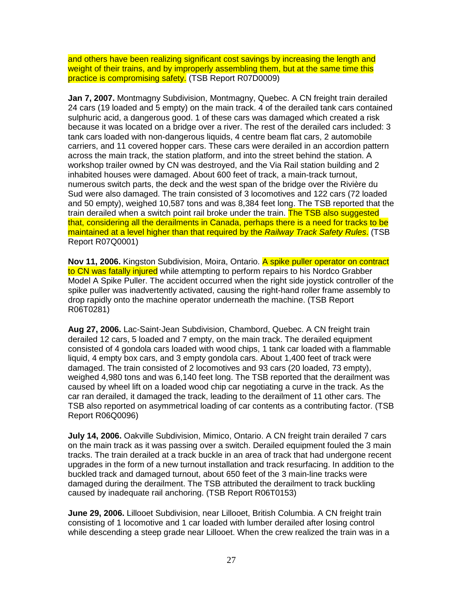and others have been realizing significant cost savings by increasing the length and weight of their trains, and by improperly assembling them, but at the same time this practice is compromising safety. (TSB Report R07D0009)

**Jan 7, 2007.** Montmagny Subdivision, Montmagny, Quebec. A CN freight train derailed 24 cars (19 loaded and 5 empty) on the main track. 4 of the derailed tank cars contained sulphuric acid, a dangerous good. 1 of these cars was damaged which created a risk because it was located on a bridge over a river. The rest of the derailed cars included: 3 tank cars loaded with non-dangerous liquids, 4 centre beam flat cars, 2 automobile carriers, and 11 covered hopper cars. These cars were derailed in an accordion pattern across the main track, the station platform, and into the street behind the station. A workshop trailer owned by CN was destroyed, and the Via Rail station building and 2 inhabited houses were damaged. About 600 feet of track, a main-track turnout, numerous switch parts, the deck and the west span of the bridge over the Rivière du Sud were also damaged. The train consisted of 3 locomotives and 122 cars (72 loaded and 50 empty), weighed 10,587 tons and was 8,384 feet long. The TSB reported that the train derailed when a switch point rail broke under the train. The TSB also suggested that, considering all the derailments in Canada, perhaps there is a need for tracks to be maintained at a level higher than that required by the Railway Track Safety Rules. (TSB Report R07Q0001)

**Nov 11, 2006.** Kingston Subdivision, Moira, Ontario. A spike puller operator on contract to CN was fatally injured while attempting to perform repairs to his Nordco Grabber Model A Spike Puller. The accident occurred when the right side joystick controller of the spike puller was inadvertently activated, causing the right-hand roller frame assembly to drop rapidly onto the machine operator underneath the machine. (TSB Report R06T0281)

**Aug 27, 2006.** Lac-Saint-Jean Subdivision, Chambord, Quebec. A CN freight train derailed 12 cars, 5 loaded and 7 empty, on the main track. The derailed equipment consisted of 4 gondola cars loaded with wood chips, 1 tank car loaded with a flammable liquid, 4 empty box cars, and 3 empty gondola cars. About 1,400 feet of track were damaged. The train consisted of 2 locomotives and 93 cars (20 loaded, 73 empty), weighed 4,980 tons and was 6,140 feet long. The TSB reported that the derailment was caused by wheel lift on a loaded wood chip car negotiating a curve in the track. As the car ran derailed, it damaged the track, leading to the derailment of 11 other cars. The TSB also reported on asymmetrical loading of car contents as a contributing factor. (TSB Report R06Q0096)

**July 14, 2006.** Oakville Subdivision, Mimico, Ontario. A CN freight train derailed 7 cars on the main track as it was passing over a switch. Derailed equipment fouled the 3 main tracks. The train derailed at a track buckle in an area of track that had undergone recent upgrades in the form of a new turnout installation and track resurfacing. In addition to the buckled track and damaged turnout, about 650 feet of the 3 main-line tracks were damaged during the derailment. The TSB attributed the derailment to track buckling caused by inadequate rail anchoring. (TSB Report R06T0153)

**June 29, 2006.** Lillooet Subdivision, near Lillooet, British Columbia. A CN freight train consisting of 1 locomotive and 1 car loaded with lumber derailed after losing control while descending a steep grade near Lillooet. When the crew realized the train was in a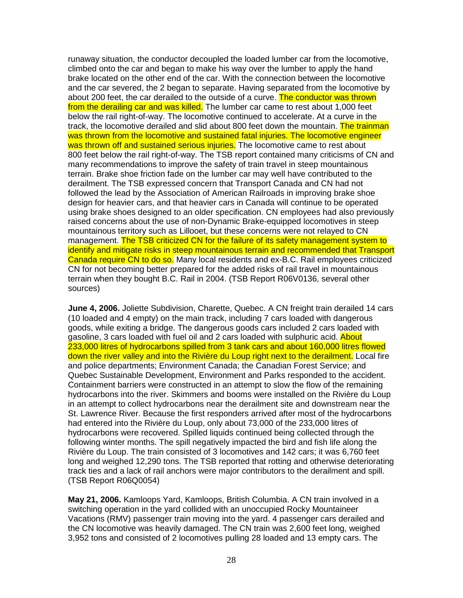runaway situation, the conductor decoupled the loaded lumber car from the locomotive, climbed onto the car and began to make his way over the lumber to apply the hand brake located on the other end of the car. With the connection between the locomotive and the car severed, the 2 began to separate. Having separated from the locomotive by about 200 feet, the car derailed to the outside of a curve. The conductor was thrown from the derailing car and was killed. The lumber car came to rest about 1,000 feet below the rail right-of-way. The locomotive continued to accelerate. At a curve in the track, the locomotive derailed and slid about 800 feet down the mountain. The trainman was thrown from the locomotive and sustained fatal injuries. The locomotive engineer was thrown off and sustained serious injuries. The locomotive came to rest about 800 feet below the rail right-of-way. The TSB report contained many criticisms of CN and many recommendations to improve the safety of train travel in steep mountainous terrain. Brake shoe friction fade on the lumber car may well have contributed to the derailment. The TSB expressed concern that Transport Canada and CN had not followed the lead by the Association of American Railroads in improving brake shoe design for heavier cars, and that heavier cars in Canada will continue to be operated using brake shoes designed to an older specification. CN employees had also previously raised concerns about the use of non-Dynamic Brake-equipped locomotives in steep mountainous territory such as Lillooet, but these concerns were not relayed to CN management. The TSB criticized CN for the failure of its safety management system to identify and mitigate risks in steep mountainous terrain and recommended that Transport Canada require CN to do so. Many local residents and ex-B.C. Rail employees criticized CN for not becoming better prepared for the added risks of rail travel in mountainous terrain when they bought B.C. Rail in 2004. (TSB Report R06V0136, several other sources)

**June 4, 2006.** Joliette Subdivision, Charette, Quebec. A CN freight train derailed 14 cars (10 loaded and 4 empty) on the main track, including 7 cars loaded with dangerous goods, while exiting a bridge. The dangerous goods cars included 2 cars loaded with gasoline, 3 cars loaded with fuel oil and 2 cars loaded with sulphuric acid. About 233,000 litres of hydrocarbons spilled from 3 tank cars and about 160,000 litres flowed down the river valley and into the Rivière du Loup right next to the derailment. Local fire and police departments; Environment Canada; the Canadian Forest Service; and Quebec Sustainable Development, Environment and Parks responded to the accident. Containment barriers were constructed in an attempt to slow the flow of the remaining hydrocarbons into the river. Skimmers and booms were installed on the Rivière du Loup in an attempt to collect hydrocarbons near the derailment site and downstream near the St. Lawrence River. Because the first responders arrived after most of the hydrocarbons had entered into the Rivière du Loup, only about 73,000 of the 233,000 litres of hydrocarbons were recovered. Spilled liquids continued being collected through the following winter months. The spill negatively impacted the bird and fish life along the Rivière du Loup. The train consisted of 3 locomotives and 142 cars; it was 6,760 feet long and weighed 12,290 tons. The TSB reported that rotting and otherwise deteriorating track ties and a lack of rail anchors were major contributors to the derailment and spill. (TSB Report R06Q0054)

**May 21, 2006.** Kamloops Yard, Kamloops, British Columbia. A CN train involved in a switching operation in the yard collided with an unoccupied Rocky Mountaineer Vacations (RMV) passenger train moving into the yard. 4 passenger cars derailed and the CN locomotive was heavily damaged. The CN train was 2,600 feet long, weighed 3,952 tons and consisted of 2 locomotives pulling 28 loaded and 13 empty cars. The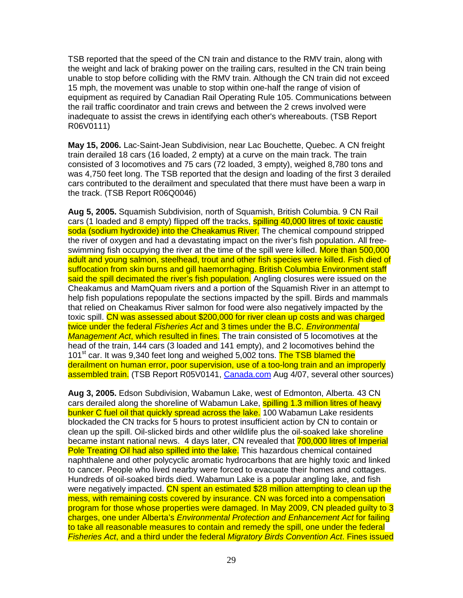TSB reported that the speed of the CN train and distance to the RMV train, along with the weight and lack of braking power on the trailing cars, resulted in the CN train being unable to stop before colliding with the RMV train. Although the CN train did not exceed 15 mph, the movement was unable to stop within one-half the range of vision of equipment as required by Canadian Rail Operating Rule 105. Communications between the rail traffic coordinator and train crews and between the 2 crews involved were inadequate to assist the crews in identifying each other's whereabouts. (TSB Report R06V0111)

**May 15, 2006.** Lac-Saint-Jean Subdivision, near Lac Bouchette, Quebec. A CN freight train derailed 18 cars (16 loaded, 2 empty) at a curve on the main track. The train consisted of 3 locomotives and 75 cars (72 loaded, 3 empty), weighed 8,780 tons and was 4,750 feet long. The TSB reported that the design and loading of the first 3 derailed cars contributed to the derailment and speculated that there must have been a warp in the track. (TSB Report R06Q0046)

**Aug 5, 2005.** Squamish Subdivision, north of Squamish, British Columbia. 9 CN Rail cars (1 loaded and 8 empty) flipped off the tracks, **spilling 40,000 litres of toxic caustic** soda (sodium hydroxide) into the Cheakamus River. The chemical compound stripped the river of oxygen and had a devastating impact on the river's fish population. All freeswimming fish occupying the river at the time of the spill were killed. More than 500,000 adult and young salmon, steelhead, trout and other fish species were killed. Fish died of suffocation from skin burns and gill haemorrhaging. British Columbia Environment staff said the spill decimated the river's fish population. Angling closures were issued on the Cheakamus and MamQuam rivers and a portion of the Squamish River in an attempt to help fish populations repopulate the sections impacted by the spill. Birds and mammals that relied on Cheakamus River salmon for food were also negatively impacted by the toxic spill. CN was assessed about \$200,000 for river clean up costs and was charged twice under the federal *Fisheries Act* and 3 times under the B.C. *Environmental* Management Act, which resulted in fines. The train consisted of 5 locomotives at the head of the train, 144 cars (3 loaded and 141 empty), and 2 locomotives behind the 101<sup>st</sup> car. It was 9,340 feet long and weighed 5,002 tons. The TSB blamed the derailment on human error, poor supervision, use of a too-long train and an improperly assembled train. (TSB Report R05V0141, Canada.com Aug 4/07, several other sources)

**Aug 3, 2005.** Edson Subdivision, Wabamun Lake, west of Edmonton, Alberta. 43 CN cars derailed along the shoreline of Wabamun Lake, spilling 1.3 million litres of heavy bunker C fuel oil that quickly spread across the lake. 100 Wabamun Lake residents blockaded the CN tracks for 5 hours to protest insufficient action by CN to contain or clean up the spill. Oil-slicked birds and other wildlife plus the oil-soaked lake shoreline became instant national news. 4 days later, CN revealed that 700,000 litres of Imperial Pole Treating Oil had also spilled into the lake. This hazardous chemical contained naphthalene and other polycyclic aromatic hydrocarbons that are highly toxic and linked to cancer. People who lived nearby were forced to evacuate their homes and cottages. Hundreds of oil-soaked birds died. Wabamun Lake is a popular angling lake, and fish were negatively impacted. CN spent an estimated \$28 million attempting to clean up the mess, with remaining costs covered by insurance. CN was forced into a compensation program for those whose properties were damaged. In May 2009, CN pleaded guilty to 3 charges, one under Alberta's Environmental Protection and Enhancement Act for failing to take all reasonable measures to contain and remedy the spill, one under the federal Fisheries Act, and a third under the federal Migratory Birds Convention Act. Fines issued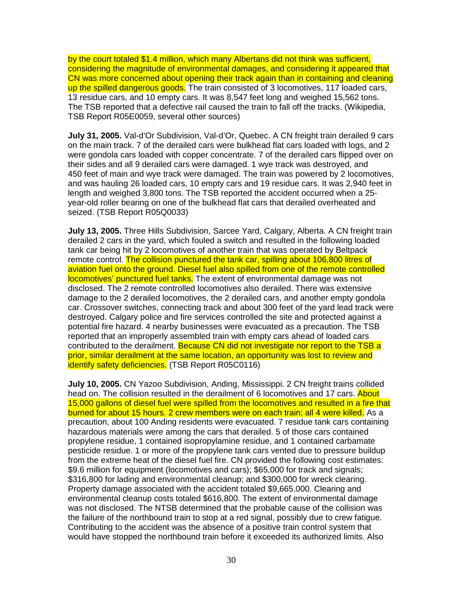by the court totaled \$1.4 million, which many Albertans did not think was sufficient, considering the magnitude of environmental damages, and considering it appeared that CN was more concerned about opening their track again than in containing and cleaning up the spilled dangerous goods. The train consisted of 3 locomotives, 117 loaded cars, 13 residue cars, and 10 empty cars. It was 8,547 feet long and weighed 15,562 tons. The TSB reported that a defective rail caused the train to fall off the tracks. (Wikipedia, TSB Report R05E0059, several other sources)

**July 31, 2005.** Val-d'Or Subdivision, Val-d'Or, Quebec. A CN freight train derailed 9 cars on the main track. 7 of the derailed cars were bulkhead flat cars loaded with logs, and 2 were gondola cars loaded with copper concentrate. 7 of the derailed cars flipped over on their sides and all 9 derailed cars were damaged. 1 wye track was destroyed, and 450 feet of main and wye track were damaged. The train was powered by 2 locomotives, and was hauling 26 loaded cars, 10 empty cars and 19 residue cars. It was 2,940 feet in length and weighed 3,800 tons. The TSB reported the accident occurred when a 25 year-old roller bearing on one of the bulkhead flat cars that derailed overheated and seized. (TSB Report R05Q0033)

**July 13, 2005.** Three Hills Subdivision, Sarcee Yard, Calgary, Alberta. A CN freight train derailed 2 cars in the yard, which fouled a switch and resulted in the following loaded tank car being hit by 2 locomotives of another train that was operated by Beltpack remote control. The collision punctured the tank car, spilling about 106,800 litres of aviation fuel onto the ground. Diesel fuel also spilled from one of the remote controlled locomotives' punctured fuel tanks. The extent of environmental damage was not disclosed. The 2 remote controlled locomotives also derailed. There was extensive damage to the 2 derailed locomotives, the 2 derailed cars, and another empty gondola car. Crossover switches, connecting track and about 300 feet of the yard lead track were destroyed. Calgary police and fire services controlled the site and protected against a potential fire hazard. 4 nearby businesses were evacuated as a precaution. The TSB reported that an improperly assembled train with empty cars ahead of loaded cars contributed to the derailment. Because CN did not investigate nor report to the TSB a prior, similar derailment at the same location, an opportunity was lost to review and identify safety deficiencies. (TSB Report R05C0116)

**July 10, 2005.** CN Yazoo Subdivision, Anding, Mississippi. 2 CN freight trains collided head on. The collision resulted in the derailment of 6 locomotives and 17 cars. About 15,000 gallons of diesel fuel were spilled from the locomotives and resulted in a fire that burned for about 15 hours. 2 crew members were on each train; all 4 were killed. As a precaution, about 100 Anding residents were evacuated. 7 residue tank cars containing hazardous materials were among the cars that derailed. 5 of those cars contained propylene residue, 1 contained isopropylamine residue, and 1 contained carbamate pesticide residue. 1 or more of the propylene tank cars vented due to pressure buildup from the extreme heat of the diesel fuel fire. CN provided the following cost estimates: \$9.6 million for equipment (locomotives and cars); \$65,000 for track and signals; \$316,800 for lading and environmental cleanup; and \$300,000 for wreck clearing. Property damage associated with the accident totaled \$9,665,000. Clearing and environmental cleanup costs totaled \$616,800. The extent of environmental damage was not disclosed. The NTSB determined that the probable cause of the collision was the failure of the northbound train to stop at a red signal, possibly due to crew fatigue. Contributing to the accident was the absence of a positive train control system that would have stopped the northbound train before it exceeded its authorized limits. Also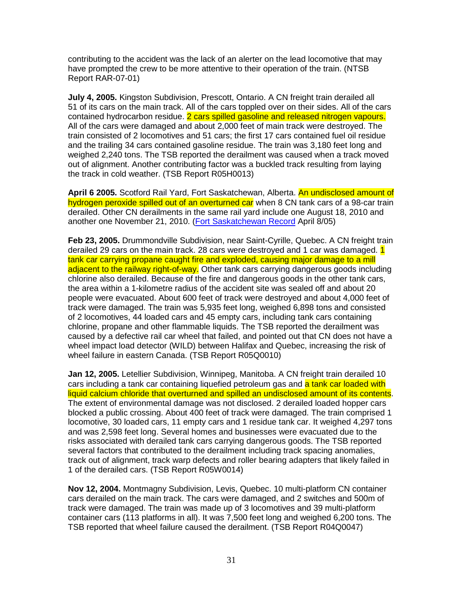contributing to the accident was the lack of an alerter on the lead locomotive that may have prompted the crew to be more attentive to their operation of the train. (NTSB Report RAR-07-01)

**July 4, 2005.** Kingston Subdivision, Prescott, Ontario. A CN freight train derailed all 51 of its cars on the main track. All of the cars toppled over on their sides. All of the cars contained hydrocarbon residue. 2 cars spilled gasoline and released nitrogen vapours. All of the cars were damaged and about 2,000 feet of main track were destroyed. The train consisted of 2 locomotives and 51 cars; the first 17 cars contained fuel oil residue and the trailing 34 cars contained gasoline residue. The train was 3,180 feet long and weighed 2,240 tons. The TSB reported the derailment was caused when a track moved out of alignment. Another contributing factor was a buckled track resulting from laying the track in cold weather. (TSB Report R05H0013)

**April 6 2005.** Scotford Rail Yard, Fort Saskatchewan, Alberta. An undisclosed amount of hydrogen peroxide spilled out of an overturned car when 8 CN tank cars of a 98-car train derailed. Other CN derailments in the same rail yard include one August 18, 2010 and another one November 21, 2010. (Fort Saskatchewan Record April 8/05)

**Feb 23, 2005.** Drummondville Subdivision, near Saint-Cyrille, Quebec. A CN freight train derailed 29 cars on the main track. 28 cars were destroyed and 1 car was damaged. 1 tank car carrying propane caught fire and exploded, causing major damage to a mill adjacent to the railway right-of-way. Other tank cars carrying dangerous goods including chlorine also derailed. Because of the fire and dangerous goods in the other tank cars, the area within a 1-kilometre radius of the accident site was sealed off and about 20 people were evacuated. About 600 feet of track were destroyed and about 4,000 feet of track were damaged. The train was 5,935 feet long, weighed 6,898 tons and consisted of 2 locomotives, 44 loaded cars and 45 empty cars, including tank cars containing chlorine, propane and other flammable liquids. The TSB reported the derailment was caused by a defective rail car wheel that failed, and pointed out that CN does not have a wheel impact load detector (WILD) between Halifax and Quebec, increasing the risk of wheel failure in eastern Canada. (TSB Report R05Q0010)

**Jan 12, 2005.** Letellier Subdivision, Winnipeg, Manitoba. A CN freight train derailed 10 cars including a tank car containing liquefied petroleum gas and a tank car loaded with liquid calcium chloride that overturned and spilled an undisclosed amount of its contents. The extent of environmental damage was not disclosed. 2 derailed loaded hopper cars blocked a public crossing. About 400 feet of track were damaged. The train comprised 1 locomotive, 30 loaded cars, 11 empty cars and 1 residue tank car. It weighed 4,297 tons and was 2,598 feet long. Several homes and businesses were evacuated due to the risks associated with derailed tank cars carrying dangerous goods. The TSB reported several factors that contributed to the derailment including track spacing anomalies, track out of alignment, track warp defects and roller bearing adapters that likely failed in 1 of the derailed cars. (TSB Report R05W0014)

**Nov 12, 2004.** Montmagny Subdivision, Levis, Quebec. 10 multi-platform CN container cars derailed on the main track. The cars were damaged, and 2 switches and 500m of track were damaged. The train was made up of 3 locomotives and 39 multi-platform container cars (113 platforms in all). It was 7,500 feet long and weighed 6,200 tons. The TSB reported that wheel failure caused the derailment. (TSB Report R04Q0047)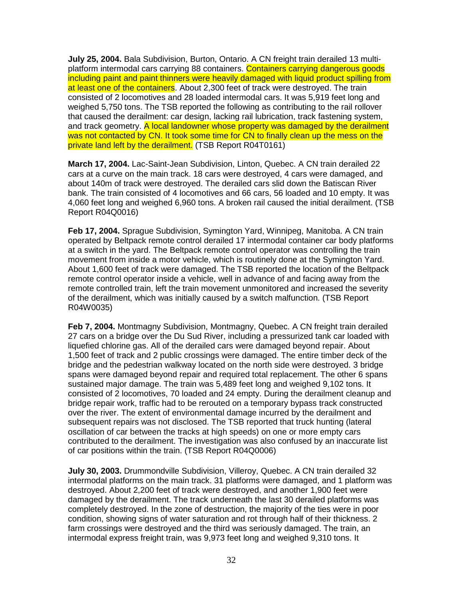**July 25, 2004.** Bala Subdivision, Burton, Ontario. A CN freight train derailed 13 multiplatform intermodal cars carrying 88 containers. Containers carrying dangerous goods including paint and paint thinners were heavily damaged with liquid product spilling from at least one of the containers. About 2,300 feet of track were destroyed. The train consisted of 2 locomotives and 28 loaded intermodal cars. It was 5,919 feet long and weighed 5,750 tons. The TSB reported the following as contributing to the rail rollover that caused the derailment: car design, lacking rail lubrication, track fastening system, and track geometry. A local landowner whose property was damaged by the derailment was not contacted by CN. It took some time for CN to finally clean up the mess on the private land left by the derailment. (TSB Report R04T0161)

**March 17, 2004.** Lac-Saint-Jean Subdivision, Linton, Quebec. A CN train derailed 22 cars at a curve on the main track. 18 cars were destroyed, 4 cars were damaged, and about 140m of track were destroyed. The derailed cars slid down the Batiscan River bank. The train consisted of 4 locomotives and 66 cars, 56 loaded and 10 empty. It was 4,060 feet long and weighed 6,960 tons. A broken rail caused the initial derailment. (TSB Report R04Q0016)

**Feb 17, 2004.** Sprague Subdivision, Symington Yard, Winnipeg, Manitoba. A CN train operated by Beltpack remote control derailed 17 intermodal container car body platforms at a switch in the yard. The Beltpack remote control operator was controlling the train movement from inside a motor vehicle, which is routinely done at the Symington Yard. About 1,600 feet of track were damaged. The TSB reported the location of the Beltpack remote control operator inside a vehicle, well in advance of and facing away from the remote controlled train, left the train movement unmonitored and increased the severity of the derailment, which was initially caused by a switch malfunction. (TSB Report R04W0035)

**Feb 7, 2004.** Montmagny Subdivision, Montmagny, Quebec. A CN freight train derailed 27 cars on a bridge over the Du Sud River, including a pressurized tank car loaded with liquefied chlorine gas. All of the derailed cars were damaged beyond repair. About 1,500 feet of track and 2 public crossings were damaged. The entire timber deck of the bridge and the pedestrian walkway located on the north side were destroyed. 3 bridge spans were damaged beyond repair and required total replacement. The other 6 spans sustained major damage. The train was 5,489 feet long and weighed 9,102 tons. It consisted of 2 locomotives, 70 loaded and 24 empty. During the derailment cleanup and bridge repair work, traffic had to be rerouted on a temporary bypass track constructed over the river. The extent of environmental damage incurred by the derailment and subsequent repairs was not disclosed. The TSB reported that truck hunting (lateral oscillation of car between the tracks at high speeds) on one or more empty cars contributed to the derailment. The investigation was also confused by an inaccurate list of car positions within the train. (TSB Report R04Q0006)

**July 30, 2003.** Drummondville Subdivision, Villeroy, Quebec. A CN train derailed 32 intermodal platforms on the main track. 31 platforms were damaged, and 1 platform was destroyed. About 2,200 feet of track were destroyed, and another 1,900 feet were damaged by the derailment. The track underneath the last 30 derailed platforms was completely destroyed. In the zone of destruction, the majority of the ties were in poor condition, showing signs of water saturation and rot through half of their thickness. 2 farm crossings were destroyed and the third was seriously damaged. The train, an intermodal express freight train, was 9,973 feet long and weighed 9,310 tons. It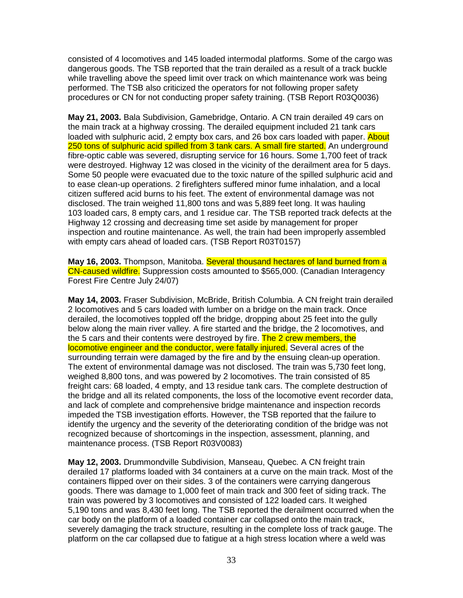consisted of 4 locomotives and 145 loaded intermodal platforms. Some of the cargo was dangerous goods. The TSB reported that the train derailed as a result of a track buckle while travelling above the speed limit over track on which maintenance work was being performed. The TSB also criticized the operators for not following proper safety procedures or CN for not conducting proper safety training. (TSB Report R03Q0036)

**May 21, 2003.** Bala Subdivision, Gamebridge, Ontario. A CN train derailed 49 cars on the main track at a highway crossing. The derailed equipment included 21 tank cars loaded with sulphuric acid, 2 empty box cars, and 26 box cars loaded with paper. About 250 tons of sulphuric acid spilled from 3 tank cars. A small fire started. An underground fibre-optic cable was severed, disrupting service for 16 hours. Some 1,700 feet of track were destroyed. Highway 12 was closed in the vicinity of the derailment area for 5 days. Some 50 people were evacuated due to the toxic nature of the spilled sulphuric acid and to ease clean-up operations. 2 firefighters suffered minor fume inhalation, and a local citizen suffered acid burns to his feet. The extent of environmental damage was not disclosed. The train weighed 11,800 tons and was 5,889 feet long. It was hauling 103 loaded cars, 8 empty cars, and 1 residue car. The TSB reported track defects at the Highway 12 crossing and decreasing time set aside by management for proper inspection and routine maintenance. As well, the train had been improperly assembled with empty cars ahead of loaded cars. (TSB Report R03T0157)

**May 16, 2003.** Thompson, Manitoba. Several thousand hectares of land burned from a CN-caused wildfire. Suppression costs amounted to \$565,000. (Canadian Interagency Forest Fire Centre July 24/07)

**May 14, 2003.** Fraser Subdivision, McBride, British Columbia. A CN freight train derailed 2 locomotives and 5 cars loaded with lumber on a bridge on the main track. Once derailed, the locomotives toppled off the bridge, dropping about 25 feet into the gully below along the main river valley. A fire started and the bridge, the 2 locomotives, and the 5 cars and their contents were destroyed by fire. The 2 crew members, the locomotive engineer and the conductor, were fatally injured. Several acres of the surrounding terrain were damaged by the fire and by the ensuing clean-up operation. The extent of environmental damage was not disclosed. The train was 5,730 feet long, weighed 8,800 tons, and was powered by 2 locomotives. The train consisted of 85 freight cars: 68 loaded, 4 empty, and 13 residue tank cars. The complete destruction of the bridge and all its related components, the loss of the locomotive event recorder data, and lack of complete and comprehensive bridge maintenance and inspection records impeded the TSB investigation efforts. However, the TSB reported that the failure to identify the urgency and the severity of the deteriorating condition of the bridge was not recognized because of shortcomings in the inspection, assessment, planning, and maintenance process. (TSB Report R03V0083)

**May 12, 2003.** Drummondville Subdivision, Manseau, Quebec. A CN freight train derailed 17 platforms loaded with 34 containers at a curve on the main track. Most of the containers flipped over on their sides. 3 of the containers were carrying dangerous goods. There was damage to 1,000 feet of main track and 300 feet of siding track. The train was powered by 3 locomotives and consisted of 122 loaded cars. It weighed 5,190 tons and was 8,430 feet long. The TSB reported the derailment occurred when the car body on the platform of a loaded container car collapsed onto the main track, severely damaging the track structure, resulting in the complete loss of track gauge. The platform on the car collapsed due to fatigue at a high stress location where a weld was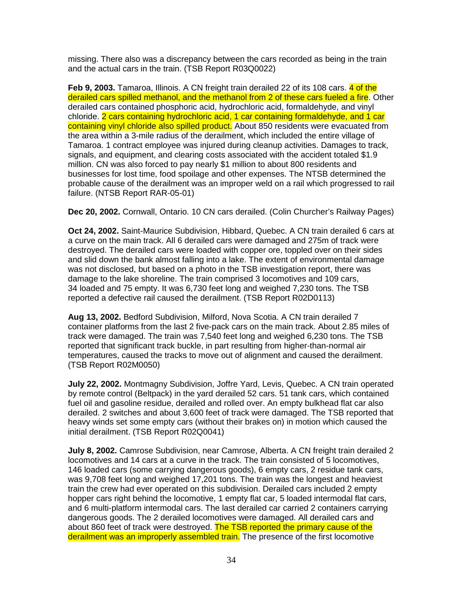missing. There also was a discrepancy between the cars recorded as being in the train and the actual cars in the train. (TSB Report R03Q0022)

**Feb 9, 2003.** Tamaroa, Illinois. A CN freight train derailed 22 of its 108 cars. 4 of the derailed cars spilled methanol, and the methanol from 2 of these cars fueled a fire. Other derailed cars contained phosphoric acid, hydrochloric acid, formaldehyde, and vinyl chloride. 2 cars containing hydrochloric acid, 1 car containing formaldehyde, and 1 car containing vinyl chloride also spilled product. About 850 residents were evacuated from the area within a 3-mile radius of the derailment, which included the entire village of Tamaroa. 1 contract employee was injured during cleanup activities. Damages to track, signals, and equipment, and clearing costs associated with the accident totaled \$1.9 million. CN was also forced to pay nearly \$1 million to about 800 residents and businesses for lost time, food spoilage and other expenses. The NTSB determined the probable cause of the derailment was an improper weld on a rail which progressed to rail failure. (NTSB Report RAR-05-01)

**Dec 20, 2002.** Cornwall, Ontario. 10 CN cars derailed. (Colin Churcher's Railway Pages)

**Oct 24, 2002.** Saint-Maurice Subdivision, Hibbard, Quebec. A CN train derailed 6 cars at a curve on the main track. All 6 derailed cars were damaged and 275m of track were destroyed. The derailed cars were loaded with copper ore, toppled over on their sides and slid down the bank almost falling into a lake. The extent of environmental damage was not disclosed, but based on a photo in the TSB investigation report, there was damage to the lake shoreline. The train comprised 3 locomotives and 109 cars, 34 loaded and 75 empty. It was 6,730 feet long and weighed 7,230 tons. The TSB reported a defective rail caused the derailment. (TSB Report R02D0113)

**Aug 13, 2002.** Bedford Subdivision, Milford, Nova Scotia. A CN train derailed 7 container platforms from the last 2 five-pack cars on the main track. About 2.85 miles of track were damaged. The train was 7,540 feet long and weighed 6,230 tons. The TSB reported that significant track buckle, in part resulting from higher-than-normal air temperatures, caused the tracks to move out of alignment and caused the derailment. (TSB Report R02M0050)

**July 22, 2002.** Montmagny Subdivision, Joffre Yard, Levis, Quebec. A CN train operated by remote control (Beltpack) in the yard derailed 52 cars. 51 tank cars, which contained fuel oil and gasoline residue, derailed and rolled over. An empty bulkhead flat car also derailed. 2 switches and about 3,600 feet of track were damaged. The TSB reported that heavy winds set some empty cars (without their brakes on) in motion which caused the initial derailment. (TSB Report R02Q0041)

**July 8, 2002.** Camrose Subdivision, near Camrose, Alberta. A CN freight train derailed 2 locomotives and 14 cars at a curve in the track. The train consisted of 5 locomotives, 146 loaded cars (some carrying dangerous goods), 6 empty cars, 2 residue tank cars, was 9,708 feet long and weighed 17,201 tons. The train was the longest and heaviest train the crew had ever operated on this subdivision. Derailed cars included 2 empty hopper cars right behind the locomotive, 1 empty flat car, 5 loaded intermodal flat cars, and 6 multi-platform intermodal cars. The last derailed car carried 2 containers carrying dangerous goods. The 2 derailed locomotives were damaged. All derailed cars and about 860 feet of track were destroyed. The TSB reported the primary cause of the derailment was an improperly assembled train. The presence of the first locomotive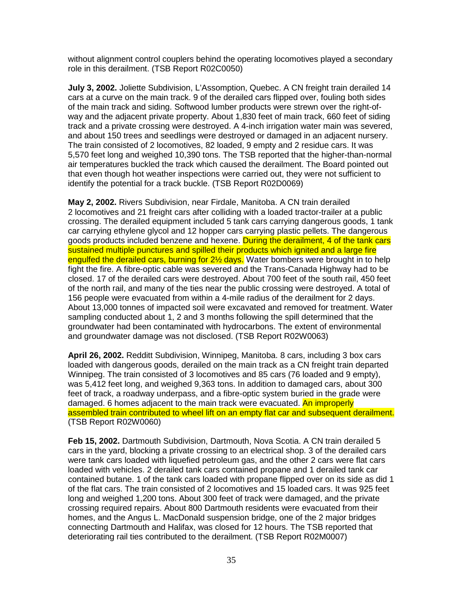without alignment control couplers behind the operating locomotives played a secondary role in this derailment. (TSB Report R02C0050)

**July 3, 2002.** Joliette Subdivision, L'Assomption, Quebec. A CN freight train derailed 14 cars at a curve on the main track. 9 of the derailed cars flipped over, fouling both sides of the main track and siding. Softwood lumber products were strewn over the right-ofway and the adjacent private property. About 1,830 feet of main track, 660 feet of siding track and a private crossing were destroyed. A 4-inch irrigation water main was severed, and about 150 trees and seedlings were destroyed or damaged in an adjacent nursery. The train consisted of 2 locomotives, 82 loaded, 9 empty and 2 residue cars. It was 5,570 feet long and weighed 10,390 tons. The TSB reported that the higher-than-normal air temperatures buckled the track which caused the derailment. The Board pointed out that even though hot weather inspections were carried out, they were not sufficient to identify the potential for a track buckle. (TSB Report R02D0069)

**May 2, 2002.** Rivers Subdivision, near Firdale, Manitoba. A CN train derailed 2 locomotives and 21 freight cars after colliding with a loaded tractor-trailer at a public crossing. The derailed equipment included 5 tank cars carrying dangerous goods, 1 tank car carrying ethylene glycol and 12 hopper cars carrying plastic pellets. The dangerous goods products included benzene and hexene. During the derailment, 4 of the tank cars sustained multiple punctures and spilled their products which ignited and a large fire engulfed the derailed cars, burning for 2½ days. Water bombers were brought in to help fight the fire. A fibre-optic cable was severed and the Trans-Canada Highway had to be closed. 17 of the derailed cars were destroyed. About 700 feet of the south rail, 450 feet of the north rail, and many of the ties near the public crossing were destroyed. A total of 156 people were evacuated from within a 4-mile radius of the derailment for 2 days. About 13,000 tonnes of impacted soil were excavated and removed for treatment. Water sampling conducted about 1, 2 and 3 months following the spill determined that the groundwater had been contaminated with hydrocarbons. The extent of environmental and groundwater damage was not disclosed. (TSB Report R02W0063)

**April 26, 2002.** Redditt Subdivision, Winnipeg, Manitoba. 8 cars, including 3 box cars loaded with dangerous goods, derailed on the main track as a CN freight train departed Winnipeg. The train consisted of 3 locomotives and 85 cars (76 loaded and 9 empty), was 5,412 feet long, and weighed 9,363 tons. In addition to damaged cars, about 300 feet of track, a roadway underpass, and a fibre-optic system buried in the grade were damaged. 6 homes adjacent to the main track were evacuated. An improperly assembled train contributed to wheel lift on an empty flat car and subsequent derailment. (TSB Report R02W0060)

**Feb 15, 2002.** Dartmouth Subdivision, Dartmouth, Nova Scotia. A CN train derailed 5 cars in the yard, blocking a private crossing to an electrical shop. 3 of the derailed cars were tank cars loaded with liquefied petroleum gas, and the other 2 cars were flat cars loaded with vehicles. 2 derailed tank cars contained propane and 1 derailed tank car contained butane. 1 of the tank cars loaded with propane flipped over on its side as did 1 of the flat cars. The train consisted of 2 locomotives and 15 loaded cars. It was 925 feet long and weighed 1,200 tons. About 300 feet of track were damaged, and the private crossing required repairs. About 800 Dartmouth residents were evacuated from their homes, and the Angus L. MacDonald suspension bridge, one of the 2 major bridges connecting Dartmouth and Halifax, was closed for 12 hours. The TSB reported that deteriorating rail ties contributed to the derailment. (TSB Report R02M0007)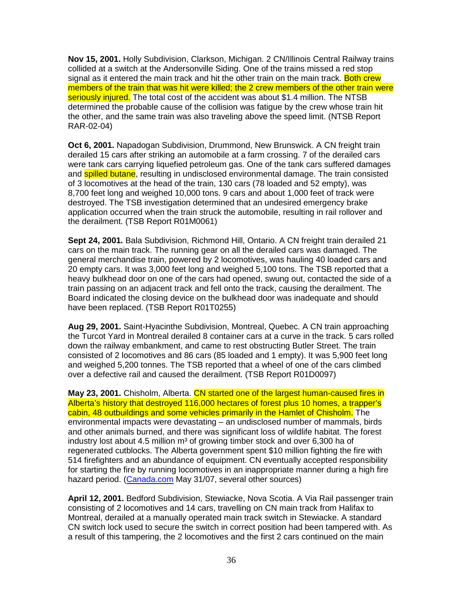**Nov 15, 2001.** Holly Subdivision, Clarkson, Michigan. 2 CN/Illinois Central Railway trains collided at a switch at the Andersonville Siding. One of the trains missed a red stop signal as it entered the main track and hit the other train on the main track. Both crew members of the train that was hit were killed; the 2 crew members of the other train were seriously injured. The total cost of the accident was about \$1.4 million. The NTSB determined the probable cause of the collision was fatigue by the crew whose train hit the other, and the same train was also traveling above the speed limit. (NTSB Report RAR-02-04)

**Oct 6, 2001.** Napadogan Subdivision, Drummond, New Brunswick. A CN freight train derailed 15 cars after striking an automobile at a farm crossing. 7 of the derailed cars were tank cars carrying liquefied petroleum gas. One of the tank cars suffered damages and **spilled butane**, resulting in undisclosed environmental damage. The train consisted of 3 locomotives at the head of the train, 130 cars (78 loaded and 52 empty), was 8,700 feet long and weighed 10,000 tons. 9 cars and about 1,000 feet of track were destroyed. The TSB investigation determined that an undesired emergency brake application occurred when the train struck the automobile, resulting in rail rollover and the derailment. (TSB Report R01M0061)

**Sept 24, 2001.** Bala Subdivision, Richmond Hill, Ontario. A CN freight train derailed 21 cars on the main track. The running gear on all the derailed cars was damaged. The general merchandise train, powered by 2 locomotives, was hauling 40 loaded cars and 20 empty cars. It was 3,000 feet long and weighed 5,100 tons. The TSB reported that a heavy bulkhead door on one of the cars had opened, swung out, contacted the side of a train passing on an adjacent track and fell onto the track, causing the derailment. The Board indicated the closing device on the bulkhead door was inadequate and should have been replaced. (TSB Report R01T0255)

**Aug 29, 2001.** Saint-Hyacinthe Subdivision, Montreal, Quebec. A CN train approaching the Turcot Yard in Montreal derailed 8 container cars at a curve in the track. 5 cars rolled down the railway embankment, and came to rest obstructing Butler Street. The train consisted of 2 locomotives and 86 cars (85 loaded and 1 empty). It was 5,900 feet long and weighed 5,200 tonnes. The TSB reported that a wheel of one of the cars climbed over a defective rail and caused the derailment. (TSB Report R01D0097)

**May 23, 2001.** Chisholm, Alberta. CN started one of the largest human-caused fires in Alberta's history that destroyed 116,000 hectares of forest plus 10 homes, a trapper's cabin, 48 outbuildings and some vehicles primarily in the Hamlet of Chisholm. The environmental impacts were devastating – an undisclosed number of mammals, birds and other animals burned, and there was significant loss of wildlife habitat. The forest industry lost about 4.5 million  $m<sup>3</sup>$  of growing timber stock and over 6,300 ha of regenerated cutblocks. The Alberta government spent \$10 million fighting the fire with 514 firefighters and an abundance of equipment. CN eventually accepted responsibility for starting the fire by running locomotives in an inappropriate manner during a high fire hazard period. (Canada.com May 31/07, several other sources)

**April 12, 2001.** Bedford Subdivision, Stewiacke, Nova Scotia. A Via Rail passenger train consisting of 2 locomotives and 14 cars, travelling on CN main track from Halifax to Montreal, derailed at a manually operated main track switch in Stewiacke. A standard CN switch lock used to secure the switch in correct position had been tampered with. As a result of this tampering, the 2 locomotives and the first 2 cars continued on the main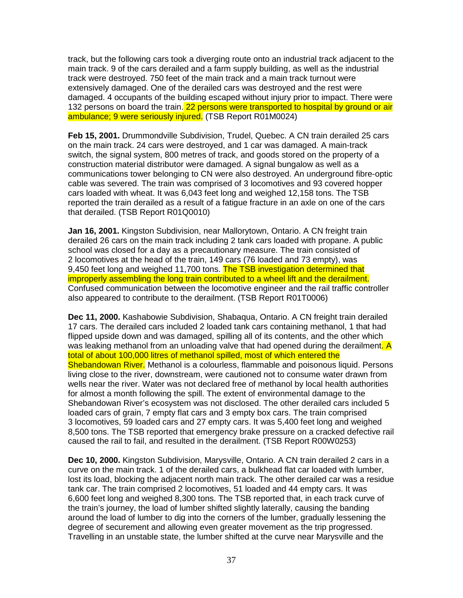track, but the following cars took a diverging route onto an industrial track adjacent to the main track. 9 of the cars derailed and a farm supply building, as well as the industrial track were destroyed. 750 feet of the main track and a main track turnout were extensively damaged. One of the derailed cars was destroyed and the rest were damaged. 4 occupants of the building escaped without injury prior to impact. There were 132 persons on board the train. 22 persons were transported to hospital by ground or air ambulance; 9 were seriously injured. (TSB Report R01M0024)

**Feb 15, 2001.** Drummondville Subdivision, Trudel, Quebec. A CN train derailed 25 cars on the main track. 24 cars were destroyed, and 1 car was damaged. A main-track switch, the signal system, 800 metres of track, and goods stored on the property of a construction material distributor were damaged. A signal bungalow as well as a communications tower belonging to CN were also destroyed. An underground fibre-optic cable was severed. The train was comprised of 3 locomotives and 93 covered hopper cars loaded with wheat. It was 6,043 feet long and weighed 12,158 tons. The TSB reported the train derailed as a result of a fatigue fracture in an axle on one of the cars that derailed. (TSB Report R01Q0010)

**Jan 16, 2001.** Kingston Subdivision, near Mallorytown, Ontario. A CN freight train derailed 26 cars on the main track including 2 tank cars loaded with propane. A public school was closed for a day as a precautionary measure. The train consisted of 2 locomotives at the head of the train, 149 cars (76 loaded and 73 empty), was 9,450 feet long and weighed 11,700 tons. The TSB investigation determined that improperly assembling the long train contributed to a wheel lift and the derailment. Confused communication between the locomotive engineer and the rail traffic controller also appeared to contribute to the derailment. (TSB Report R01T0006)

**Dec 11, 2000.** Kashabowie Subdivision, Shabaqua, Ontario. A CN freight train derailed 17 cars. The derailed cars included 2 loaded tank cars containing methanol, 1 that had flipped upside down and was damaged, spilling all of its contents, and the other which was leaking methanol from an unloading valve that had opened during the derailment. A total of about 100,000 litres of methanol spilled, most of which entered the Shebandowan River. Methanol is a colourless, flammable and poisonous liquid. Persons living close to the river, downstream, were cautioned not to consume water drawn from wells near the river. Water was not declared free of methanol by local health authorities for almost a month following the spill. The extent of environmental damage to the Shebandowan River's ecosystem was not disclosed. The other derailed cars included 5 loaded cars of grain, 7 empty flat cars and 3 empty box cars. The train comprised 3 locomotives, 59 loaded cars and 27 empty cars. It was 5,400 feet long and weighed 8,500 tons. The TSB reported that emergency brake pressure on a cracked defective rail caused the rail to fail, and resulted in the derailment. (TSB Report R00W0253)

**Dec 10, 2000.** Kingston Subdivision, Marysville, Ontario. A CN train derailed 2 cars in a curve on the main track. 1 of the derailed cars, a bulkhead flat car loaded with lumber, lost its load, blocking the adjacent north main track. The other derailed car was a residue tank car. The train comprised 2 locomotives, 51 loaded and 44 empty cars. It was 6,600 feet long and weighed 8,300 tons. The TSB reported that, in each track curve of the train's journey, the load of lumber shifted slightly laterally, causing the banding around the load of lumber to dig into the corners of the lumber, gradually lessening the degree of securement and allowing even greater movement as the trip progressed. Travelling in an unstable state, the lumber shifted at the curve near Marysville and the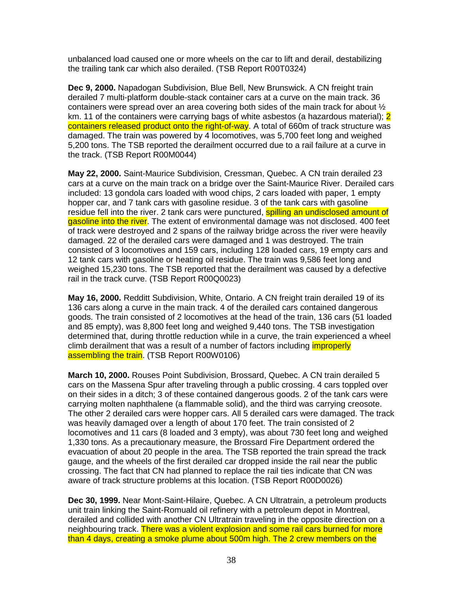unbalanced load caused one or more wheels on the car to lift and derail, destabilizing the trailing tank car which also derailed. (TSB Report R00T0324)

**Dec 9, 2000.** Napadogan Subdivision, Blue Bell, New Brunswick. A CN freight train derailed 7 multi-platform double-stack container cars at a curve on the main track. 36 containers were spread over an area covering both sides of the main track for about ½ km. 11 of the containers were carrying bags of white asbestos (a hazardous material); 2 containers released product onto the right-of-way. A total of 660m of track structure was damaged. The train was powered by 4 locomotives, was 5,700 feet long and weighed 5,200 tons. The TSB reported the derailment occurred due to a rail failure at a curve in the track. (TSB Report R00M0044)

**May 22, 2000.** Saint-Maurice Subdivision, Cressman, Quebec. A CN train derailed 23 cars at a curve on the main track on a bridge over the Saint-Maurice River. Derailed cars included: 13 gondola cars loaded with wood chips, 2 cars loaded with paper, 1 empty hopper car, and 7 tank cars with gasoline residue. 3 of the tank cars with gasoline residue fell into the river. 2 tank cars were punctured, spilling an undisclosed amount of gasoline into the river. The extent of environmental damage was not disclosed. 400 feet of track were destroyed and 2 spans of the railway bridge across the river were heavily damaged. 22 of the derailed cars were damaged and 1 was destroyed. The train consisted of 3 locomotives and 159 cars, including 128 loaded cars, 19 empty cars and 12 tank cars with gasoline or heating oil residue. The train was 9,586 feet long and weighed 15,230 tons. The TSB reported that the derailment was caused by a defective rail in the track curve. (TSB Report R00Q0023)

**May 16, 2000.** Redditt Subdivision, White, Ontario. A CN freight train derailed 19 of its 136 cars along a curve in the main track. 4 of the derailed cars contained dangerous goods. The train consisted of 2 locomotives at the head of the train, 136 cars (51 loaded and 85 empty), was 8,800 feet long and weighed 9,440 tons. The TSB investigation determined that, during throttle reduction while in a curve, the train experienced a wheel climb derailment that was a result of a number of factors including *improperly* assembling the train. (TSB Report R00W0106)

**March 10, 2000.** Rouses Point Subdivision, Brossard, Quebec. A CN train derailed 5 cars on the Massena Spur after traveling through a public crossing. 4 cars toppled over on their sides in a ditch; 3 of these contained dangerous goods. 2 of the tank cars were carrying molten naphthalene (a flammable solid), and the third was carrying creosote. The other 2 derailed cars were hopper cars. All 5 derailed cars were damaged. The track was heavily damaged over a length of about 170 feet. The train consisted of 2 locomotives and 11 cars (8 loaded and 3 empty), was about 730 feet long and weighed 1,330 tons. As a precautionary measure, the Brossard Fire Department ordered the evacuation of about 20 people in the area. The TSB reported the train spread the track gauge, and the wheels of the first derailed car dropped inside the rail near the public crossing. The fact that CN had planned to replace the rail ties indicate that CN was aware of track structure problems at this location. (TSB Report R00D0026)

**Dec 30, 1999.** Near Mont-Saint-Hilaire, Quebec. A CN Ultratrain, a petroleum products unit train linking the Saint-Romuald oil refinery with a petroleum depot in Montreal, derailed and collided with another CN Ultratrain traveling in the opposite direction on a neighbouring track. There was a violent explosion and some rail cars burned for more than 4 days, creating a smoke plume about 500m high. The 2 crew members on the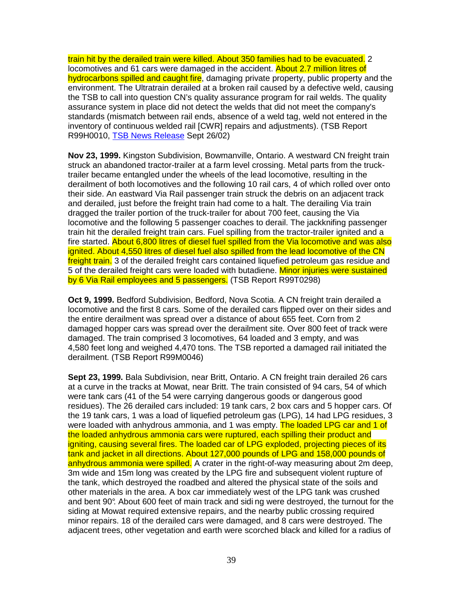train hit by the derailed train were killed. About 350 families had to be evacuated. 2 locomotives and 61 cars were damaged in the accident. About 2.7 million litres of hydrocarbons spilled and caught fire, damaging private property, public property and the environment. The Ultratrain derailed at a broken rail caused by a defective weld, causing the TSB to call into question CN's quality assurance program for rail welds. The quality assurance system in place did not detect the welds that did not meet the company's standards (mismatch between rail ends, absence of a weld tag, weld not entered in the inventory of continuous welded rail [CWR] repairs and adjustments). (TSB Report R99H0010, TSB News Release Sept 26/02)

**Nov 23, 1999.** Kingston Subdivision, Bowmanville, Ontario. A westward CN freight train struck an abandoned tractor-trailer at a farm level crossing. Metal parts from the trucktrailer became entangled under the wheels of the lead locomotive, resulting in the derailment of both locomotives and the following 10 rail cars, 4 of which rolled over onto their side. An eastward Via Rail passenger train struck the debris on an adjacent track and derailed, just before the freight train had come to a halt. The derailing Via train dragged the trailer portion of the truck-trailer for about 700 feet, causing the Via locomotive and the following 5 passenger coaches to derail. The jackknifing passenger train hit the derailed freight train cars. Fuel spilling from the tractor-trailer ignited and a fire started. About 6,800 litres of diesel fuel spilled from the Via locomotive and was also ignited. About 4,550 litres of diesel fuel also spilled from the lead locomotive of the CN freight train. 3 of the derailed freight cars contained liquefied petroleum gas residue and 5 of the derailed freight cars were loaded with butadiene. Minor injuries were sustained by 6 Via Rail employees and 5 passengers. (TSB Report R99T0298)

**Oct 9, 1999.** Bedford Subdivision, Bedford, Nova Scotia. A CN freight train derailed a locomotive and the first 8 cars. Some of the derailed cars flipped over on their sides and the entire derailment was spread over a distance of about 655 feet. Corn from 2 damaged hopper cars was spread over the derailment site. Over 800 feet of track were damaged. The train comprised 3 locomotives, 64 loaded and 3 empty, and was 4,580 feet long and weighed 4,470 tons. The TSB reported a damaged rail initiated the derailment. (TSB Report R99M0046)

**Sept 23, 1999.** Bala Subdivision, near Britt, Ontario. A CN freight train derailed 26 cars at a curve in the tracks at Mowat, near Britt. The train consisted of 94 cars, 54 of which were tank cars (41 of the 54 were carrying dangerous goods or dangerous good residues). The 26 derailed cars included: 19 tank cars, 2 box cars and 5 hopper cars. Of the 19 tank cars, 1 was a load of liquefied petroleum gas (LPG), 14 had LPG residues, 3 were loaded with anhydrous ammonia, and 1 was empty. The loaded LPG car and 1 of the loaded anhydrous ammonia cars were ruptured, each spilling their product and igniting, causing several fires. The loaded car of LPG exploded, projecting pieces of its tank and jacket in all directions. About 127,000 pounds of LPG and 158,000 pounds of anhydrous ammonia were spilled. A crater in the right-of-way measuring about 2m deep, 3m wide and 15m long was created by the LPG fire and subsequent violent rupture of the tank, which destroyed the roadbed and altered the physical state of the soils and other materials in the area. A box car immediately west of the LPG tank was crushed and bent 90°. About 600 feet of main track and sidi ng were destroyed, the turnout for the siding at Mowat required extensive repairs, and the nearby public crossing required minor repairs. 18 of the derailed cars were damaged, and 8 cars were destroyed. The adjacent trees, other vegetation and earth were scorched black and killed for a radius of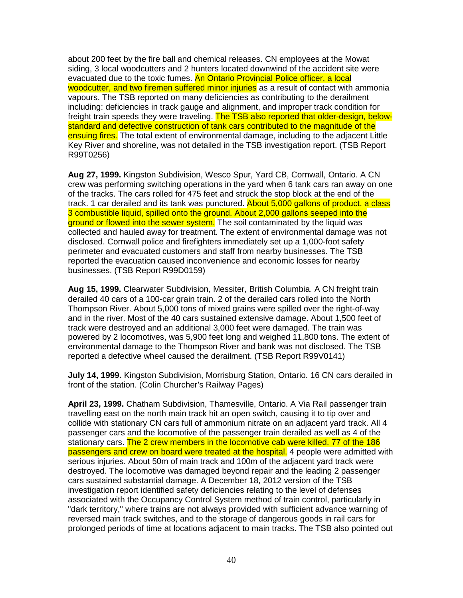about 200 feet by the fire ball and chemical releases. CN employees at the Mowat siding, 3 local woodcutters and 2 hunters located downwind of the accident site were evacuated due to the toxic fumes. An Ontario Provincial Police officer, a local woodcutter, and two firemen suffered minor injuries as a result of contact with ammonia vapours. The TSB reported on many deficiencies as contributing to the derailment including: deficiencies in track gauge and alignment, and improper track condition for freight train speeds they were traveling. The TSB also reported that older-design, belowstandard and defective construction of tank cars contributed to the magnitude of the ensuing fires. The total extent of environmental damage, including to the adiacent Little Key River and shoreline, was not detailed in the TSB investigation report. (TSB Report R99T0256)

**Aug 27, 1999.** Kingston Subdivision, Wesco Spur, Yard CB, Cornwall, Ontario. A CN crew was performing switching operations in the yard when 6 tank cars ran away on one of the tracks. The cars rolled for 475 feet and struck the stop block at the end of the track. 1 car derailed and its tank was punctured. About 5,000 gallons of product, a class 3 combustible liquid, spilled onto the ground. About 2,000 gallons seeped into the ground or flowed into the sewer system. The soil contaminated by the liquid was collected and hauled away for treatment. The extent of environmental damage was not disclosed. Cornwall police and firefighters immediately set up a 1,000-foot safety perimeter and evacuated customers and staff from nearby businesses. The TSB reported the evacuation caused inconvenience and economic losses for nearby businesses. (TSB Report R99D0159)

**Aug 15, 1999.** Clearwater Subdivision, Messiter, British Columbia. A CN freight train derailed 40 cars of a 100-car grain train. 2 of the derailed cars rolled into the North Thompson River. About 5,000 tons of mixed grains were spilled over the right-of-way and in the river. Most of the 40 cars sustained extensive damage. About 1,500 feet of track were destroyed and an additional 3,000 feet were damaged. The train was powered by 2 locomotives, was 5,900 feet long and weighed 11,800 tons. The extent of environmental damage to the Thompson River and bank was not disclosed. The TSB reported a defective wheel caused the derailment. (TSB Report R99V0141)

**July 14, 1999.** Kingston Subdivision, Morrisburg Station, Ontario. 16 CN cars derailed in front of the station. (Colin Churcher's Railway Pages)

**April 23, 1999.** Chatham Subdivision, Thamesville, Ontario. A Via Rail passenger train travelling east on the north main track hit an open switch, causing it to tip over and collide with stationary CN cars full of ammonium nitrate on an adjacent yard track. All 4 passenger cars and the locomotive of the passenger train derailed as well as 4 of the stationary cars. The 2 crew members in the locomotive cab were killed. 77 of the 186 passengers and crew on board were treated at the hospital. 4 people were admitted with serious injuries. About 50m of main track and 100m of the adjacent yard track were destroyed. The locomotive was damaged beyond repair and the leading 2 passenger cars sustained substantial damage. A December 18, 2012 version of the TSB investigation report identified safety deficiencies relating to the level of defenses associated with the Occupancy Control System method of train control, particularly in "dark territory," where trains are not always provided with sufficient advance warning of reversed main track switches, and to the storage of dangerous goods in rail cars for prolonged periods of time at locations adjacent to main tracks. The TSB also pointed out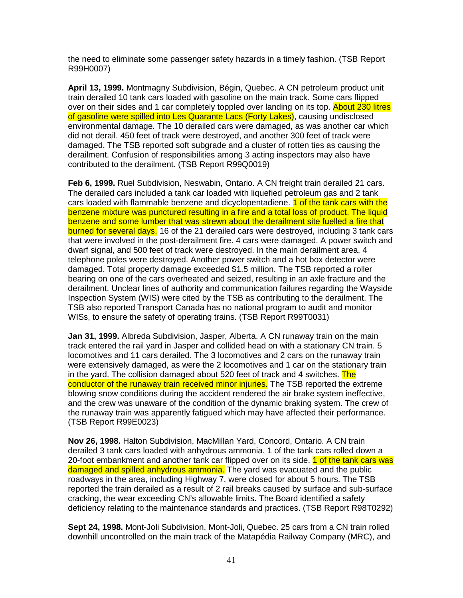the need to eliminate some passenger safety hazards in a timely fashion. (TSB Report R99H0007)

**April 13, 1999.** Montmagny Subdivision, Bégin, Quebec. A CN petroleum product unit train derailed 10 tank cars loaded with gasoline on the main track. Some cars flipped over on their sides and 1 car completely toppled over landing on its top. About 230 litres of gasoline were spilled into Les Quarante Lacs (Forty Lakes), causing undisclosed environmental damage. The 10 derailed cars were damaged, as was another car which did not derail. 450 feet of track were destroyed, and another 300 feet of track were damaged. The TSB reported soft subgrade and a cluster of rotten ties as causing the derailment. Confusion of responsibilities among 3 acting inspectors may also have contributed to the derailment. (TSB Report R99Q0019)

**Feb 6, 1999.** Ruel Subdivision, Neswabin, Ontario. A CN freight train derailed 21 cars. The derailed cars included a tank car loaded with liquefied petroleum gas and 2 tank cars loaded with flammable benzene and dicyclopentadiene. 1 of the tank cars with the benzene mixture was punctured resulting in a fire and a total loss of product. The liquid benzene and some lumber that was strewn about the derailment site fuelled a fire that burned for several days. 16 of the 21 derailed cars were destroyed, including 3 tank cars that were involved in the post-derailment fire. 4 cars were damaged. A power switch and dwarf signal, and 500 feet of track were destroyed. In the main derailment area, 4 telephone poles were destroyed. Another power switch and a hot box detector were damaged. Total property damage exceeded \$1.5 million. The TSB reported a roller bearing on one of the cars overheated and seized, resulting in an axle fracture and the derailment. Unclear lines of authority and communication failures regarding the Wayside Inspection System (WIS) were cited by the TSB as contributing to the derailment. The TSB also reported Transport Canada has no national program to audit and monitor WISs, to ensure the safety of operating trains. (TSB Report R99T0031)

**Jan 31, 1999.** Albreda Subdivision, Jasper, Alberta. A CN runaway train on the main track entered the rail yard in Jasper and collided head on with a stationary CN train. 5 locomotives and 11 cars derailed. The 3 locomotives and 2 cars on the runaway train were extensively damaged, as were the 2 locomotives and 1 car on the stationary train in the yard. The collision damaged about 520 feet of track and 4 switches. The conductor of the runaway train received minor injuries. The TSB reported the extreme blowing snow conditions during the accident rendered the air brake system ineffective, and the crew was unaware of the condition of the dynamic braking system. The crew of the runaway train was apparently fatigued which may have affected their performance. (TSB Report R99E0023)

**Nov 26, 1998.** Halton Subdivision, MacMillan Yard, Concord, Ontario. A CN train derailed 3 tank cars loaded with anhydrous ammonia. 1 of the tank cars rolled down a 20-foot embankment and another tank car flipped over on its side. 1 of the tank cars was damaged and spilled anhydrous ammonia. The yard was evacuated and the public roadways in the area, including Highway 7, were closed for about 5 hours. The TSB reported the train derailed as a result of 2 rail breaks caused by surface and sub-surface cracking, the wear exceeding CN's allowable limits. The Board identified a safety deficiency relating to the maintenance standards and practices. (TSB Report R98T0292)

**Sept 24, 1998.** Mont-Joli Subdivision, Mont-Joli, Quebec. 25 cars from a CN train rolled downhill uncontrolled on the main track of the Matapédia Railway Company (MRC), and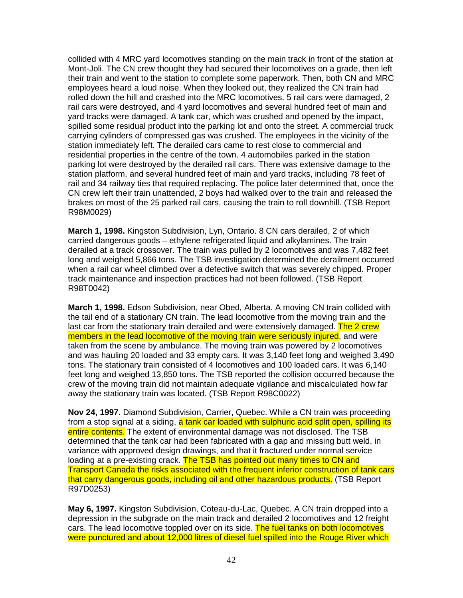collided with 4 MRC yard locomotives standing on the main track in front of the station at Mont-Joli. The CN crew thought they had secured their locomotives on a grade, then left their train and went to the station to complete some paperwork. Then, both CN and MRC employees heard a loud noise. When they looked out, they realized the CN train had rolled down the hill and crashed into the MRC locomotives. 5 rail cars were damaged, 2 rail cars were destroyed, and 4 yard locomotives and several hundred feet of main and yard tracks were damaged. A tank car, which was crushed and opened by the impact, spilled some residual product into the parking lot and onto the street. A commercial truck carrying cylinders of compressed gas was crushed. The employees in the vicinity of the station immediately left. The derailed cars came to rest close to commercial and residential properties in the centre of the town. 4 automobiles parked in the station parking lot were destroyed by the derailed rail cars. There was extensive damage to the station platform, and several hundred feet of main and yard tracks, including 78 feet of rail and 34 railway ties that required replacing. The police later determined that, once the CN crew left their train unattended, 2 boys had walked over to the train and released the brakes on most of the 25 parked rail cars, causing the train to roll downhill. (TSB Report R98M0029)

**March 1, 1998.** Kingston Subdivision, Lyn, Ontario. 8 CN cars derailed, 2 of which carried dangerous goods – ethylene refrigerated liquid and alkylamines. The train derailed at a track crossover. The train was pulled by 2 locomotives and was 7,482 feet long and weighed 5,866 tons. The TSB investigation determined the derailment occurred when a rail car wheel climbed over a defective switch that was severely chipped. Proper track maintenance and inspection practices had not been followed. (TSB Report R98T0042)

**March 1, 1998.** Edson Subdivision, near Obed, Alberta. A moving CN train collided with the tail end of a stationary CN train. The lead locomotive from the moving train and the last car from the stationary train derailed and were extensively damaged. The 2 crew members in the lead locomotive of the moving train were seriously injured, and were taken from the scene by ambulance. The moving train was powered by 2 locomotives and was hauling 20 loaded and 33 empty cars. It was 3,140 feet long and weighed 3,490 tons. The stationary train consisted of 4 locomotives and 100 loaded cars. It was 6,140 feet long and weighed 13,850 tons. The TSB reported the collision occurred because the crew of the moving train did not maintain adequate vigilance and miscalculated how far away the stationary train was located. (TSB Report R98C0022)

**Nov 24, 1997.** Diamond Subdivision, Carrier, Quebec. While a CN train was proceeding from a stop signal at a siding, a tank car loaded with sulphuric acid split open, spilling its entire contents. The extent of environmental damage was not disclosed. The TSB determined that the tank car had been fabricated with a gap and missing butt weld, in variance with approved design drawings, and that it fractured under normal service loading at a pre-existing crack. The TSB has pointed out many times to CN and Transport Canada the risks associated with the frequent inferior construction of tank cars that carry dangerous goods, including oil and other hazardous products. (TSB Report R97D0253)

**May 6, 1997.** Kingston Subdivision, Coteau-du-Lac, Quebec. A CN train dropped into a depression in the subgrade on the main track and derailed 2 locomotives and 12 freight cars. The lead locomotive toppled over on its side. The fuel tanks on both locomotives were punctured and about 12,000 litres of diesel fuel spilled into the Rouge River which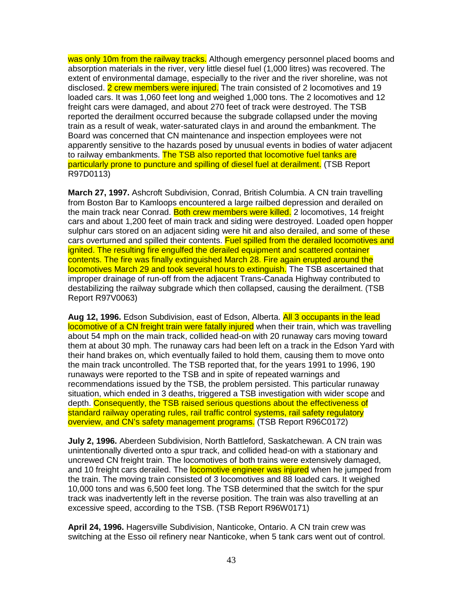was only 10m from the railway tracks. Although emergency personnel placed booms and absorption materials in the river, very little diesel fuel (1,000 litres) was recovered. The extent of environmental damage, especially to the river and the river shoreline, was not disclosed. 2 crew members were injured. The train consisted of 2 locomotives and 19 loaded cars. It was 1,060 feet long and weighed 1,000 tons. The 2 locomotives and 12 freight cars were damaged, and about 270 feet of track were destroyed. The TSB reported the derailment occurred because the subgrade collapsed under the moving train as a result of weak, water-saturated clays in and around the embankment. The Board was concerned that CN maintenance and inspection employees were not apparently sensitive to the hazards posed by unusual events in bodies of water adjacent to railway embankments. The TSB also reported that locomotive fuel tanks are particularly prone to puncture and spilling of diesel fuel at derailment. (TSB Report R97D0113)

**March 27, 1997.** Ashcroft Subdivision, Conrad, British Columbia. A CN train travelling from Boston Bar to Kamloops encountered a large railbed depression and derailed on the main track near Conrad. Both crew members were killed. 2 locomotives, 14 freight cars and about 1,200 feet of main track and siding were destroyed. Loaded open hopper sulphur cars stored on an adjacent siding were hit and also derailed, and some of these cars overturned and spilled their contents. Fuel spilled from the derailed locomotives and ignited. The resulting fire engulfed the derailed equipment and scattered container contents. The fire was finally extinguished March 28. Fire again erupted around the locomotives March 29 and took several hours to extinguish. The TSB ascertained that improper drainage of run-off from the adjacent Trans-Canada Highway contributed to destabilizing the railway subgrade which then collapsed, causing the derailment. (TSB Report R97V0063)

**Aug 12, 1996.** Edson Subdivision, east of Edson, Alberta. All 3 occupants in the lead locomotive of a CN freight train were fatally injured when their train, which was travelling about 54 mph on the main track, collided head-on with 20 runaway cars moving toward them at about 30 mph. The runaway cars had been left on a track in the Edson Yard with their hand brakes on, which eventually failed to hold them, causing them to move onto the main track uncontrolled. The TSB reported that, for the years 1991 to 1996, 190 runaways were reported to the TSB and in spite of repeated warnings and recommendations issued by the TSB, the problem persisted. This particular runaway situation, which ended in 3 deaths, triggered a TSB investigation with wider scope and depth. Consequently, the TSB raised serious questions about the effectiveness of standard railway operating rules, rail traffic control systems, rail safety regulatory overview, and CN's safety management programs. (TSB Report R96C0172)

**July 2, 1996.** Aberdeen Subdivision, North Battleford, Saskatchewan. A CN train was unintentionally diverted onto a spur track, and collided head-on with a stationary and uncrewed CN freight train. The locomotives of both trains were extensively damaged, and 10 freight cars derailed. The **locomotive engineer was injured** when he jumped from the train. The moving train consisted of 3 locomotives and 88 loaded cars. It weighed 10,000 tons and was 6,500 feet long. The TSB determined that the switch for the spur track was inadvertently left in the reverse position. The train was also travelling at an excessive speed, according to the TSB. (TSB Report R96W0171)

**April 24, 1996.** Hagersville Subdivision, Nanticoke, Ontario. A CN train crew was switching at the Esso oil refinery near Nanticoke, when 5 tank cars went out of control.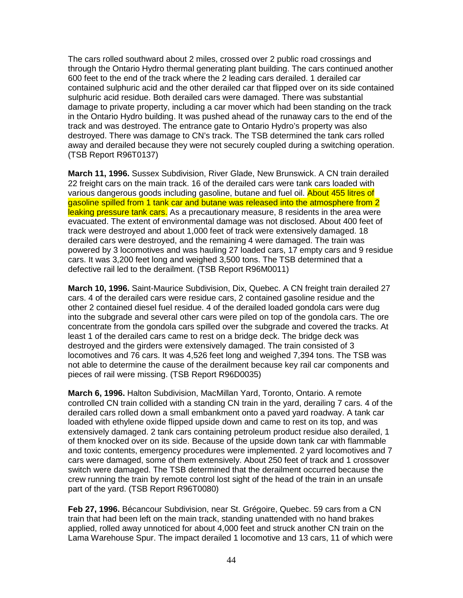The cars rolled southward about 2 miles, crossed over 2 public road crossings and through the Ontario Hydro thermal generating plant building. The cars continued another 600 feet to the end of the track where the 2 leading cars derailed. 1 derailed car contained sulphuric acid and the other derailed car that flipped over on its side contained sulphuric acid residue. Both derailed cars were damaged. There was substantial damage to private property, including a car mover which had been standing on the track in the Ontario Hydro building. It was pushed ahead of the runaway cars to the end of the track and was destroyed. The entrance gate to Ontario Hydro's property was also destroyed. There was damage to CN's track. The TSB determined the tank cars rolled away and derailed because they were not securely coupled during a switching operation. (TSB Report R96T0137)

**March 11, 1996.** Sussex Subdivision, River Glade, New Brunswick. A CN train derailed 22 freight cars on the main track. 16 of the derailed cars were tank cars loaded with various dangerous goods including gasoline, butane and fuel oil. About 455 litres of gasoline spilled from 1 tank car and butane was released into the atmosphere from 2 leaking pressure tank cars. As a precautionary measure, 8 residents in the area were evacuated. The extent of environmental damage was not disclosed. About 400 feet of track were destroyed and about 1,000 feet of track were extensively damaged. 18 derailed cars were destroyed, and the remaining 4 were damaged. The train was powered by 3 locomotives and was hauling 27 loaded cars, 17 empty cars and 9 residue cars. It was 3,200 feet long and weighed 3,500 tons. The TSB determined that a defective rail led to the derailment. (TSB Report R96M0011)

**March 10, 1996.** Saint-Maurice Subdivision, Dix, Quebec. A CN freight train derailed 27 cars. 4 of the derailed cars were residue cars, 2 contained gasoline residue and the other 2 contained diesel fuel residue. 4 of the derailed loaded gondola cars were dug into the subgrade and several other cars were piled on top of the gondola cars. The ore concentrate from the gondola cars spilled over the subgrade and covered the tracks. At least 1 of the derailed cars came to rest on a bridge deck. The bridge deck was destroyed and the girders were extensively damaged. The train consisted of 3 locomotives and 76 cars. It was 4,526 feet long and weighed 7,394 tons. The TSB was not able to determine the cause of the derailment because key rail car components and pieces of rail were missing. (TSB Report R96D0035)

**March 6, 1996.** Halton Subdivision, MacMillan Yard, Toronto, Ontario. A remote controlled CN train collided with a standing CN train in the yard, derailing 7 cars. 4 of the derailed cars rolled down a small embankment onto a paved yard roadway. A tank car loaded with ethylene oxide flipped upside down and came to rest on its top, and was extensively damaged. 2 tank cars containing petroleum product residue also derailed, 1 of them knocked over on its side. Because of the upside down tank car with flammable and toxic contents, emergency procedures were implemented. 2 yard locomotives and 7 cars were damaged, some of them extensively. About 250 feet of track and 1 crossover switch were damaged. The TSB determined that the derailment occurred because the crew running the train by remote control lost sight of the head of the train in an unsafe part of the yard. (TSB Report R96T0080)

**Feb 27, 1996.** Bécancour Subdivision, near St. Grégoire, Quebec. 59 cars from a CN train that had been left on the main track, standing unattended with no hand brakes applied, rolled away unnoticed for about 4,000 feet and struck another CN train on the Lama Warehouse Spur. The impact derailed 1 locomotive and 13 cars, 11 of which were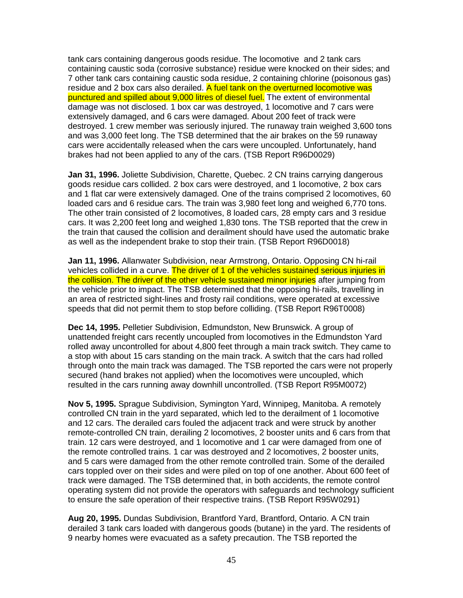tank cars containing dangerous goods residue. The locomotive and 2 tank cars containing caustic soda (corrosive substance) residue were knocked on their sides; and 7 other tank cars containing caustic soda residue, 2 containing chlorine (poisonous gas) residue and 2 box cars also derailed. A fuel tank on the overturned locomotive was punctured and spilled about 9,000 litres of diesel fuel. The extent of environmental damage was not disclosed. 1 box car was destroyed, 1 locomotive and 7 cars were extensively damaged, and 6 cars were damaged. About 200 feet of track were destroyed. 1 crew member was seriously injured. The runaway train weighed 3,600 tons and was 3,000 feet long. The TSB determined that the air brakes on the 59 runaway cars were accidentally released when the cars were uncoupled. Unfortunately, hand brakes had not been applied to any of the cars. (TSB Report R96D0029)

**Jan 31, 1996.** Joliette Subdivision, Charette, Quebec. 2 CN trains carrying dangerous goods residue cars collided. 2 box cars were destroyed, and 1 locomotive, 2 box cars and 1 flat car were extensively damaged. One of the trains comprised 2 locomotives, 60 loaded cars and 6 residue cars. The train was 3,980 feet long and weighed 6,770 tons. The other train consisted of 2 locomotives, 8 loaded cars, 28 empty cars and 3 residue cars. It was 2,200 feet long and weighed 1,830 tons. The TSB reported that the crew in the train that caused the collision and derailment should have used the automatic brake as well as the independent brake to stop their train. (TSB Report R96D0018)

**Jan 11, 1996.** Allanwater Subdivision, near Armstrong, Ontario. Opposing CN hi-rail vehicles collided in a curve. The driver of 1 of the vehicles sustained serious injuries in the collision. The driver of the other vehicle sustained minor injuries after jumping from the vehicle prior to impact. The TSB determined that the opposing hi-rails, travelling in an area of restricted sight-lines and frosty rail conditions, were operated at excessive speeds that did not permit them to stop before colliding. (TSB Report R96T0008)

**Dec 14, 1995.** Pelletier Subdivision, Edmundston, New Brunswick. A group of unattended freight cars recently uncoupled from locomotives in the Edmundston Yard rolled away uncontrolled for about 4,800 feet through a main track switch. They came to a stop with about 15 cars standing on the main track. A switch that the cars had rolled through onto the main track was damaged. The TSB reported the cars were not properly secured (hand brakes not applied) when the locomotives were uncoupled, which resulted in the cars running away downhill uncontrolled. (TSB Report R95M0072)

**Nov 5, 1995.** Sprague Subdivision, Symington Yard, Winnipeg, Manitoba. A remotely controlled CN train in the yard separated, which led to the derailment of 1 locomotive and 12 cars. The derailed cars fouled the adjacent track and were struck by another remote-controlled CN train, derailing 2 locomotives, 2 booster units and 6 cars from that train. 12 cars were destroyed, and 1 locomotive and 1 car were damaged from one of the remote controlled trains. 1 car was destroyed and 2 locomotives, 2 booster units, and 5 cars were damaged from the other remote controlled train. Some of the derailed cars toppled over on their sides and were piled on top of one another. About 600 feet of track were damaged. The TSB determined that, in both accidents, the remote control operating system did not provide the operators with safeguards and technology sufficient to ensure the safe operation of their respective trains. (TSB Report R95W0291)

**Aug 20, 1995.** Dundas Subdivision, Brantford Yard, Brantford, Ontario. A CN train derailed 3 tank cars loaded with dangerous goods (butane) in the yard. The residents of 9 nearby homes were evacuated as a safety precaution. The TSB reported the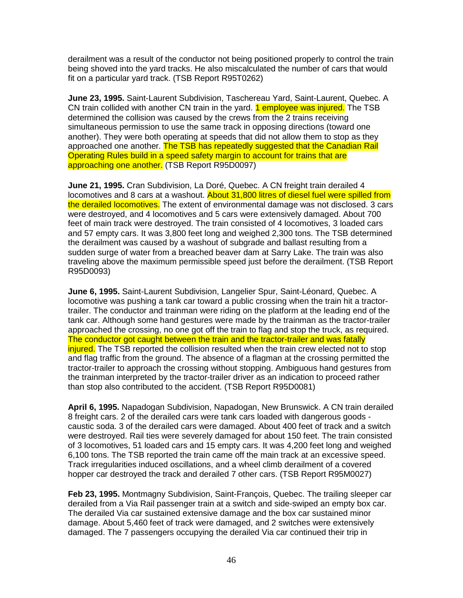derailment was a result of the conductor not being positioned properly to control the train being shoved into the yard tracks. He also miscalculated the number of cars that would fit on a particular yard track. (TSB Report R95T0262)

**June 23, 1995.** Saint-Laurent Subdivision, Taschereau Yard, Saint-Laurent, Quebec. A CN train collided with another CN train in the yard. **1 employee was injured.** The TSB determined the collision was caused by the crews from the 2 trains receiving simultaneous permission to use the same track in opposing directions (toward one another). They were both operating at speeds that did not allow them to stop as they approached one another. The TSB has repeatedly suggested that the Canadian Rail Operating Rules build in a speed safety margin to account for trains that are approaching one another. (TSB Report R95D0097)

**June 21, 1995.** Cran Subdivision, La Doré, Quebec. A CN freight train derailed 4 locomotives and 8 cars at a washout. About 31,800 litres of diesel fuel were spilled from the derailed locomotives. The extent of environmental damage was not disclosed. 3 cars were destroyed, and 4 locomotives and 5 cars were extensively damaged. About 700 feet of main track were destroyed. The train consisted of 4 locomotives, 3 loaded cars and 57 empty cars. It was 3,800 feet long and weighed 2,300 tons. The TSB determined the derailment was caused by a washout of subgrade and ballast resulting from a sudden surge of water from a breached beaver dam at Sarry Lake. The train was also traveling above the maximum permissible speed just before the derailment. (TSB Report R95D0093)

**June 6, 1995.** Saint-Laurent Subdivision, Langelier Spur, Saint-Léonard, Quebec. A locomotive was pushing a tank car toward a public crossing when the train hit a tractortrailer. The conductor and trainman were riding on the platform at the leading end of the tank car. Although some hand gestures were made by the trainman as the tractor-trailer approached the crossing, no one got off the train to flag and stop the truck, as required. The conductor got caught between the train and the tractor-trailer and was fatally injured. The TSB reported the collision resulted when the train crew elected not to stop and flag traffic from the ground. The absence of a flagman at the crossing permitted the tractor-trailer to approach the crossing without stopping. Ambiguous hand gestures from the trainman interpreted by the tractor-trailer driver as an indication to proceed rather than stop also contributed to the accident. (TSB Report R95D0081)

**April 6, 1995.** Napadogan Subdivision, Napadogan, New Brunswick. A CN train derailed 8 freight cars. 2 of the derailed cars were tank cars loaded with dangerous goods caustic soda. 3 of the derailed cars were damaged. About 400 feet of track and a switch were destroyed. Rail ties were severely damaged for about 150 feet. The train consisted of 3 locomotives, 51 loaded cars and 15 empty cars. It was 4,200 feet long and weighed 6,100 tons. The TSB reported the train came off the main track at an excessive speed. Track irregularities induced oscillations, and a wheel climb derailment of a covered hopper car destroyed the track and derailed 7 other cars. (TSB Report R95M0027)

**Feb 23, 1995.** Montmagny Subdivision, Saint-François, Quebec. The trailing sleeper car derailed from a Via Rail passenger train at a switch and side-swiped an empty box car. The derailed Via car sustained extensive damage and the box car sustained minor damage. About 5,460 feet of track were damaged, and 2 switches were extensively damaged. The 7 passengers occupying the derailed Via car continued their trip in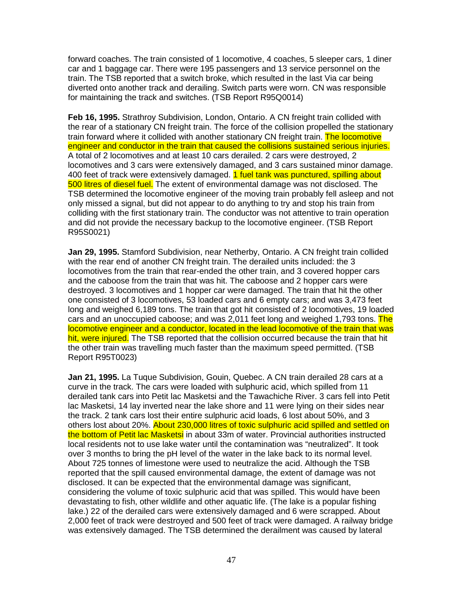forward coaches. The train consisted of 1 locomotive, 4 coaches, 5 sleeper cars, 1 diner car and 1 baggage car. There were 195 passengers and 13 service personnel on the train. The TSB reported that a switch broke, which resulted in the last Via car being diverted onto another track and derailing. Switch parts were worn. CN was responsible for maintaining the track and switches. (TSB Report R95Q0014)

**Feb 16, 1995.** Strathroy Subdivision, London, Ontario. A CN freight train collided with the rear of a stationary CN freight train. The force of the collision propelled the stationary train forward where it collided with another stationary CN freight train. The locomotive engineer and conductor in the train that caused the collisions sustained serious injuries. A total of 2 locomotives and at least 10 cars derailed. 2 cars were destroyed, 2 locomotives and 3 cars were extensively damaged, and 3 cars sustained minor damage. 400 feet of track were extensively damaged. **1 fuel tank was punctured, spilling about** 500 litres of diesel fuel. The extent of environmental damage was not disclosed. The TSB determined the locomotive engineer of the moving train probably fell asleep and not only missed a signal, but did not appear to do anything to try and stop his train from colliding with the first stationary train. The conductor was not attentive to train operation and did not provide the necessary backup to the locomotive engineer. (TSB Report R95S0021)

**Jan 29, 1995.** Stamford Subdivision, near Netherby, Ontario. A CN freight train collided with the rear end of another CN freight train. The derailed units included: the 3 locomotives from the train that rear-ended the other train, and 3 covered hopper cars and the caboose from the train that was hit. The caboose and 2 hopper cars were destroyed. 3 locomotives and 1 hopper car were damaged. The train that hit the other one consisted of 3 locomotives, 53 loaded cars and 6 empty cars; and was 3,473 feet long and weighed 6,189 tons. The train that got hit consisted of 2 locomotives, 19 loaded cars and an unoccupied caboose; and was 2,011 feet long and weighed 1,793 tons. The locomotive engineer and a conductor, located in the lead locomotive of the train that was hit, were injured. The TSB reported that the collision occurred because the train that hit the other train was travelling much faster than the maximum speed permitted. (TSB Report R95T0023)

**Jan 21, 1995.** La Tuque Subdivision, Gouin, Quebec. A CN train derailed 28 cars at a curve in the track. The cars were loaded with sulphuric acid, which spilled from 11 derailed tank cars into Petit lac Masketsi and the Tawachiche River. 3 cars fell into Petit lac Masketsi, 14 lay inverted near the lake shore and 11 were lying on their sides near the track. 2 tank cars lost their entire sulphuric acid loads, 6 lost about 50%, and 3 others lost about 20%. About 230,000 litres of toxic sulphuric acid spilled and settled on the bottom of Petit lac Masketsi in about 33m of water. Provincial authorities instructed local residents not to use lake water until the contamination was "neutralized". It took over 3 months to bring the pH level of the water in the lake back to its normal level. About 725 tonnes of limestone were used to neutralize the acid. Although the TSB reported that the spill caused environmental damage, the extent of damage was not disclosed. It can be expected that the environmental damage was significant, considering the volume of toxic sulphuric acid that was spilled. This would have been devastating to fish, other wildlife and other aquatic life. (The lake is a popular fishing lake.) 22 of the derailed cars were extensively damaged and 6 were scrapped. About 2,000 feet of track were destroyed and 500 feet of track were damaged. A railway bridge was extensively damaged. The TSB determined the derailment was caused by lateral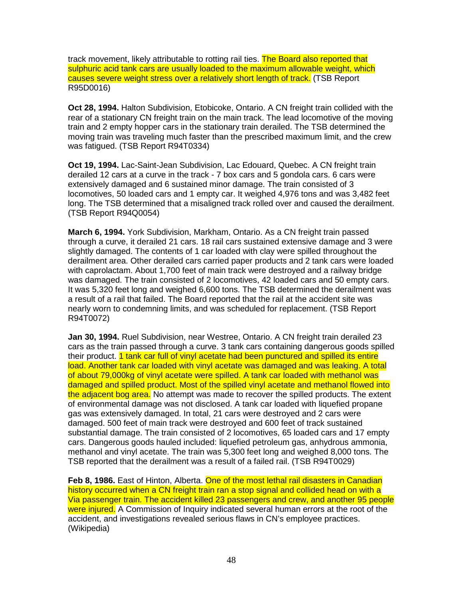track movement, likely attributable to rotting rail ties. The Board also reported that sulphuric acid tank cars are usually loaded to the maximum allowable weight, which causes severe weight stress over a relatively short length of track. (TSB Report R95D0016)

**Oct 28, 1994.** Halton Subdivision, Etobicoke, Ontario. A CN freight train collided with the rear of a stationary CN freight train on the main track. The lead locomotive of the moving train and 2 empty hopper cars in the stationary train derailed. The TSB determined the moving train was traveling much faster than the prescribed maximum limit, and the crew was fatigued. (TSB Report R94T0334)

**Oct 19, 1994.** Lac-Saint-Jean Subdivision, Lac Edouard, Quebec. A CN freight train derailed 12 cars at a curve in the track - 7 box cars and 5 gondola cars. 6 cars were extensively damaged and 6 sustained minor damage. The train consisted of 3 locomotives, 50 loaded cars and 1 empty car. It weighed 4,976 tons and was 3,482 feet long. The TSB determined that a misaligned track rolled over and caused the derailment. (TSB Report R94Q0054)

**March 6, 1994.** York Subdivision, Markham, Ontario. As a CN freight train passed through a curve, it derailed 21 cars. 18 rail cars sustained extensive damage and 3 were slightly damaged. The contents of 1 car loaded with clay were spilled throughout the derailment area. Other derailed cars carried paper products and 2 tank cars were loaded with caprolactam. About 1,700 feet of main track were destroyed and a railway bridge was damaged. The train consisted of 2 locomotives, 42 loaded cars and 50 empty cars. It was 5,320 feet long and weighed 6,600 tons. The TSB determined the derailment was a result of a rail that failed. The Board reported that the rail at the accident site was nearly worn to condemning limits, and was scheduled for replacement. (TSB Report R94T0072)

**Jan 30, 1994.** Ruel Subdivision, near Westree, Ontario. A CN freight train derailed 23 cars as the train passed through a curve. 3 tank cars containing dangerous goods spilled their product. 1 tank car full of vinyl acetate had been punctured and spilled its entire load. Another tank car loaded with vinyl acetate was damaged and was leaking. A total of about 79,000kg of vinyl acetate were spilled. A tank car loaded with methanol was damaged and spilled product. Most of the spilled vinyl acetate and methanol flowed into the adjacent bog area. No attempt was made to recover the spilled products. The extent of environmental damage was not disclosed. A tank car loaded with liquefied propane gas was extensively damaged. In total, 21 cars were destroyed and 2 cars were damaged. 500 feet of main track were destroyed and 600 feet of track sustained substantial damage. The train consisted of 2 locomotives, 65 loaded cars and 17 empty cars. Dangerous goods hauled included: liquefied petroleum gas, anhydrous ammonia, methanol and vinyl acetate. The train was 5,300 feet long and weighed 8,000 tons. The TSB reported that the derailment was a result of a failed rail. (TSB R94T0029)

**Feb 8, 1986.** East of Hinton, Alberta. One of the most lethal rail disasters in Canadian history occurred when a CN freight train ran a stop signal and collided head on with a Via passenger train. The accident killed 23 passengers and crew, and another 95 people were injured. A Commission of Inquiry indicated several human errors at the root of the accident, and investigations revealed serious flaws in CN's employee practices. (Wikipedia)